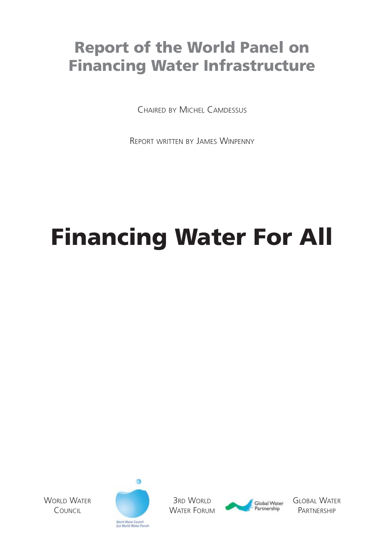### **Report of the World Panel on Financing Water Infrastructure**

CHAIRED BY MICHEL CAMDESSUS

REPORT WRITTEN BY JAMES WINPENNY

# **Financing Water For All**

WORLD WATER **COUNCIL** 



3RD WORLD WATER FORUM



GLOBAL WATER **PARTNERSHIP**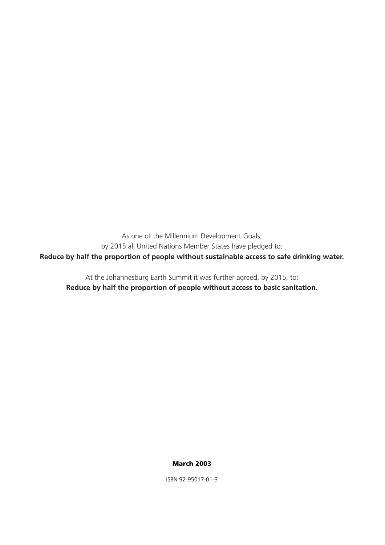As one of the Millennium Development Goals, by 2015 all United Nations Member States have pledged to: **Reduce by half the proportion of people without sustainable access to safe drinking water.**

At the Johannesburg Earth Summit it was further agreed, by 2015, to: **Reduce by half the proportion of people without access to basic sanitation.**

#### **March 2003**

ISBN 92-95017-01-3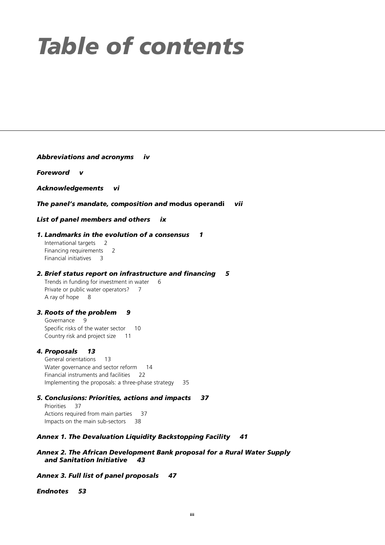# *Table of contents*

#### *Abbreviations and acronyms iv*

*Foreword v*

*Acknowledgements vi*

#### *The panel's mandate, composition and* **modus operandi** *vii*

*List of panel members and others ix*

#### *1. Landmarks in the evolution of a consensus 1*

International targets 2 Financing requirements 2 Financial initiatives 3

#### *2. Brief status report on infrastructure and financing 5*

Trends in funding for investment in water 6 Private or public water operators? 7 A ray of hope 8

#### *3. Roots of the problem 9*

Governance 9 Specific risks of the water sector 10 Country risk and project size 11

#### *4. Proposals 13*

General orientations 13 Water governance and sector reform 14 Financial instruments and facilities 22 Implementing the proposals: a three-phase strategy 35

*5. Conclusions: Priorities, actions and impacts 37* Priorities 37 Actions required from main parties 37 Impacts on the main sub-sectors 38

#### *Annex 1. The Devaluation Liquidity Backstopping Facility 41*

#### *Annex 2. The African Development Bank proposal for a Rural Water Supply and Sanitation Initiative 43*

*Annex 3. Full list of panel proposals 47*

*Endnotes 53*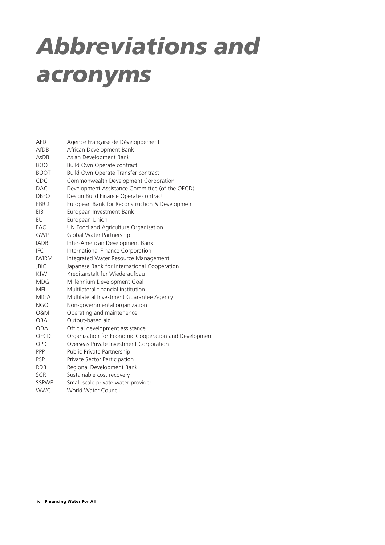# *Abbreviations and acronyms*

| <b>AFD</b>   | Agence Française de Développement                     |
|--------------|-------------------------------------------------------|
| AfDB         | African Development Bank                              |
| AsDB         | Asian Development Bank                                |
| <b>BOO</b>   | Build Own Operate contract                            |
| <b>BOOT</b>  | Build Own Operate Transfer contract                   |
| CDC          | Commonwealth Development Corporation                  |
| <b>DAC</b>   | Development Assistance Committee (of the OECD)        |
| <b>DBFO</b>  | Design Build Finance Operate contract                 |
| EBRD         | European Bank for Reconstruction & Development        |
| EIB          | European Investment Bank                              |
| EU           | European Union                                        |
| <b>FAO</b>   | UN Food and Agriculture Organisation                  |
| <b>GWP</b>   | Global Water Partnership                              |
| <b>IADB</b>  | Inter-American Development Bank                       |
| <b>IFC</b>   | International Finance Corporation                     |
| <b>IWIRM</b> | Integrated Water Resource Management                  |
| <b>JBIC</b>  | Japanese Bank for International Cooperation           |
| KfW          | Kreditanstalt fur Wiederaufbau                        |
| MDG          | Millennium Development Goal                           |
| <b>MFI</b>   | Multilateral financial institution                    |
| <b>MIGA</b>  | Multilateral Investment Guarantee Agency              |
| NGO          | Non-governmental organization                         |
| 0&M          | Operating and maintenence                             |
| <b>OBA</b>   | Output-based aid                                      |
| <b>ODA</b>   | Official development assistance                       |
| <b>OECD</b>  | Organization for Economic Cooperation and Development |
| <b>OPIC</b>  | Overseas Private Investment Corporation               |
| PPP          | Public-Private Partnership                            |
| <b>PSP</b>   | Private Sector Participation                          |
| <b>RDB</b>   | Regional Development Bank                             |
| <b>SCR</b>   | Sustainable cost recovery                             |
| <b>SSPWP</b> | Small-scale private water provider                    |
| <b>WWC</b>   | <b>World Water Council</b>                            |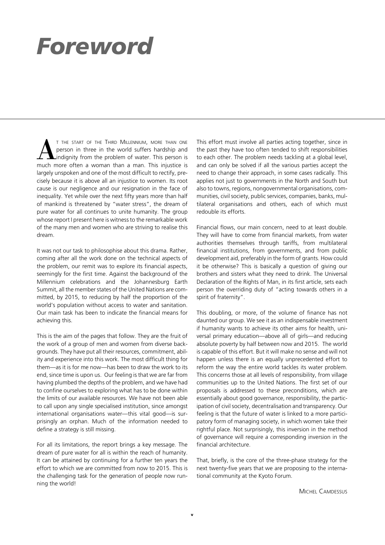## *Foreword*

T THE START OF THE THIRD MILLENNIUM, MORE THAN ONE person in three in the world suffers hardship and indignity from the problem of water. This person is much more often a woman than a man. This iniustice is person in three in the world suffers hardship and indignity from the problem of water. This person is much more often a woman than a man. This injustice is largely unspoken and one of the most difficult to rectify, precisely because it is above all an injustice to women. Its root cause is our negligence and our resignation in the face of inequality. Yet while over the next fifty years more than half of mankind is threatened by "water stress", the dream of pure water for all continues to unite humanity. The group whose report I present here is witness to the remarkable work of the many men and women who are striving to realise this dream.

It was not our task to philosophise about this drama. Rather, coming after all the work done on the technical aspects of the problem, our remit was to explore its financial aspects, seemingly for the first time. Against the background of the Millennium celebrations and the Johannesburg Earth Summit, all the member states of the United Nations are committed, by 2015, to reducing by half the proportion of the world's population without access to water and sanitation. Our main task has been to indicate the financial means for achieving this.

This is the aim of the pages that follow. They are the fruit of the work of a group of men and women from diverse backgrounds. They have put all their resources, commitment, ability and experience into this work. The most difficult thing for them—as it is for me now—has been to draw the work to its end, since time is upon us. Our feeling is that we are far from having plumbed the depths of the problem, and we have had to confine ourselves to exploring what has to be done within the limits of our available resources. We have not been able to call upon any single specialised institution, since amongst international organisations water—this vital good—is surprisingly an orphan. Much of the information needed to define a strategy is still missing.

For all its limitations, the report brings a key message. The dream of pure water for all is within the reach of humanity. It can be attained by continuing for a further ten years the effort to which we are committed from now to 2015. This is the challenging task for the generation of people now running the world!

This effort must involve all parties acting together, since in the past they have too often tended to shift responsibilities to each other. The problem needs tackling at a global level, and can only be solved if all the various parties accept the need to change their approach, in some cases radically. This applies not just to governments in the North and South but also to towns, regions, nongovernmental organisations, communities, civil society, public services, companies, banks, multilateral organisations and others, each of which must redouble its efforts.

Financial flows, our main concern, need to at least double. They will have to come from financial markets, from water authorities themselves through tariffs, from multilateral financial institutions, from governments, and from public development aid, preferably in the form of grants. How could it be otherwise? This is basically a question of giving our brothers and sisters what they need to drink. The Universal Declaration of the Rights of Man, in its first article, sets each person the overriding duty of "acting towards others in a spirit of fraternity".

This doubling, or more, of the volume of finance has not daunted our group. We see it as an indispensable investment if humanity wants to achieve its other aims for health, universal primary education—above all of girls—and reducing absolute poverty by half between now and 2015. The world is capable of this effort. But it will make no sense and will not happen unless there is an equally unprecedented effort to reform the way the entire world tackles its water problem. This concerns those at all levels of responsibility, from village communities up to the United Nations. The first set of our proposals is addressed to these preconditions, which are essentially about good governance, responsibility, the participation of civil society, decentralisation and transparency. Our feeling is that the future of water is linked to a more participatory form of managing society, in which women take their rightful place. Not surprisingly, this inversion in the method of governance will require a corresponding inversion in the financial architecture.

That, briefly, is the core of the three-phase strategy for the next twenty-five years that we are proposing to the international community at the Kyoto Forum.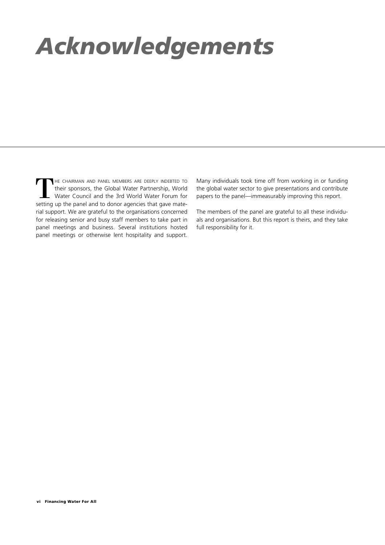# *Acknowledgements*

THE CHAIRMAN AND PANEL MEMBERS ARE DEEPLY INDEBTED TO their sponsors, the Global Water Partnership, World Water Torum for setting up the panel and to donor agencies that gave matetheir sponsors, the Global Water Partnership, World Water Council and the 3rd World Water Forum for setting up the panel and to donor agencies that gave material support. We are grateful to the organisations concerned for releasing senior and busy staff members to take part in panel meetings and business. Several institutions hosted panel meetings or otherwise lent hospitality and support.

Many individuals took time off from working in or funding the global water sector to give presentations and contribute papers to the panel—immeasurably improving this report.

The members of the panel are grateful to all these individuals and organisations. But this report is theirs, and they take full responsibility for it.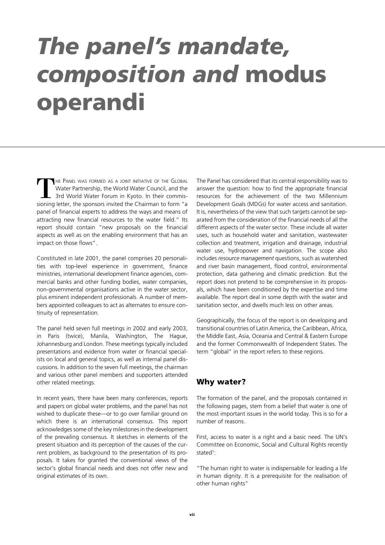## *The panel's mandate, composition and* **modus operandi**

THE PANEL WAS FORMED AS A JOINT INITIATIVE OF THE GLOBAL Water Partnership, the World Water Council, and the 3rd World Water Forum in Kyoto. In their commissioning letter, the sponsors invited the Chairman to form "a panel of financial experts to address the ways and means of attracting new financial resources to the water field." Its report should contain "new proposals on the financial aspects as well as on the enabling environment that has an impact on those flows".

Constituted in late 2001, the panel comprises 20 personalities with top-level experience in government, finance ministries, international development finance agencies, commercial banks and other funding bodies, water companies, non-governmental organisations active in the water sector, plus eminent independent professionals. A number of members appointed colleagues to act as alternates to ensure continuity of representation.

The panel held seven full meetings in 2002 and early 2003, in Paris (twice), Manila, Washington, The Hague, Johannesburg and London. These meetings typically included presentations and evidence from water or financial specialists on local and general topics, as well as internal panel discussions. In addition to the seven full meetings, the chairman and various other panel members and supporters attended other related meetings.

In recent years, there have been many conferences, reports and papers on global water problems, and the panel has not wished to duplicate these—or to go over familiar ground on which there is an international consensus. This report acknowledges some of the key milestones in the development of the prevailing consensus. It sketches in elements of the present situation and its perception of the causes of the current problem, as background to the presentation of its proposals. It takes for granted the conventional views of the sector's global financial needs and does not offer new and original estimates of its own.

The Panel has considered that its central responsibility was to answer the question: how to find the appropriate financial resources for the achievement of the two Millennium Development Goals (MDGs) for water access and sanitation. It is, nevertheless of the view that such targets cannot be separated from the consideration of the financial needs of all the different aspects of the water sector. These include all water uses, such as household water and sanitation, wastewater collection and treatment, irrigation and drainage, industrial water use, hydropower and navigation. The scope also includes *resource management* questions, such as watershed and river basin management, flood control, environmental protection, data gathering and climatic prediction. But the report does not pretend to be comprehensive in its proposals, which have been conditioned by the expertise and time available. The report deal in some depth with the water and sanitation sector, and dwells much less on other areas.

Geographically, the focus of the report is on developing and transitional countries of Latin America, the Caribbean, Africa, the Middle East, Asia, Oceania and Central & Eastern Europe and the former Commonwealth of Independent States. The term "global" in the report refers to these regions.

#### **Why water?**

The formation of the panel, and the proposals contained in the following pages, stem from a belief that water is one of the most important issues in the world today. This is so for a number of reasons.

First, access to water is a right and a basic need. The UN's Committee on Economic, Social and Cultural Rights recently stated<sup>1</sup>:

"The human right to water is indispensable for leading a life in human dignity. It is a prerequisite for the realisation of other human rights"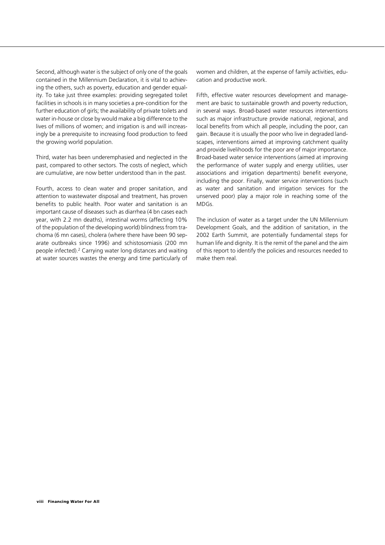Second, although water is the subject of only one of the goals contained in the Millennium Declaration, it is vital to achieving the others, such as poverty, education and gender equality. To take just three examples: providing segregated toilet facilities in schools is in many societies a pre-condition for the further education of girls; the availability of private toilets and water in-house or close by would make a big difference to the lives of millions of women; and irrigation is and will increasingly be a prerequisite to increasing food production to feed the growing world population.

Third, water has been underemphasied and neglected in the past, compared to other sectors. The costs of neglect, which are cumulative, are now better understood than in the past.

Fourth, access to clean water and proper sanitation, and attention to wastewater disposal and treatment, has proven benefits to public health. Poor water and sanitation is an important cause of diseases such as diarrhea (4 bn cases each year, with 2.2 mn deaths), intestinal worms (affecting 10% of the population of the developing world) blindness from trachoma (6 mn cases), cholera (where there have been 90 separate outbreaks since 1996) and schistosomiasis (200 mn people infected).2 Carrying water long distances and waiting at water sources wastes the energy and time particularly of women and children, at the expense of family activities, education and productive work.

Fifth, effective water resources development and management are basic to sustainable growth and poverty reduction, in several ways. Broad-based water resources interventions such as major infrastructure provide national, regional, and local benefits from which all people, including the poor, can gain. Because it is usually the poor who live in degraded landscapes, interventions aimed at improving catchment quality and provide livelihoods for the poor are of major importance. Broad-based water service interventions (aimed at improving the performance of water supply and energy utilities, user associations and irrigation departments) benefit everyone, including the poor. Finally, water service interventions (such as water and sanitation and irrigation services for the unserved poor) play a major role in reaching some of the MDGs.

The inclusion of water as a target under the UN Millennium Development Goals, and the addition of sanitation, in the 2002 Earth Summit, are potentially fundamental steps for human life and dignity. It is the remit of the panel and the aim of this report to identify the policies and resources needed to make them real.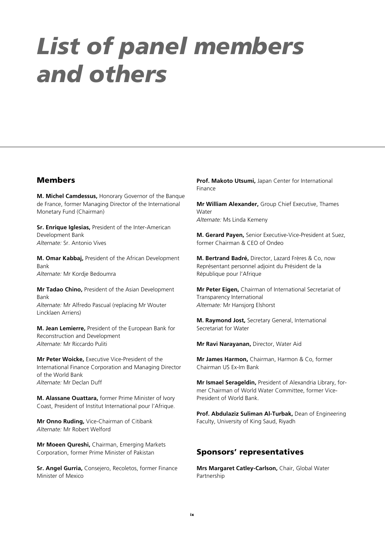## *List of panel members and others*

#### **Members**

**M. Michel Camdessus,** Honorary Governor of the Banque de France, former Managing Director of the International Monetary Fund (Chairman)

**Sr. Enrique Iglesias,** President of the Inter-American Development Bank *Alternate:* Sr. Antonio Vives

**M. Omar Kabbaj,** President of the African Development Bank *Alternate:* Mr Kordje Bedoumra

**Mr Tadao Chino,** President of the Asian Development Bank *Alternate:* Mr Alfredo Pascual (replacing Mr Wouter Lincklaen Arriens)

**M. Jean Lemierre,** President of the European Bank for Reconstruction and Development *Alternate:* Mr Riccardo Puliti

**Mr Peter Woicke,** Executive Vice-President of the International Finance Corporation and Managing Director of the World Bank *Alternate:* Mr Declan Duff

**M. Alassane Ouattara,** former Prime Minister of Ivory Coast, President of Institut International pour l'Afrique.

**Mr Onno Ruding,** Vice-Chairman of Citibank *Alternate:* Mr Robert Welford

**Mr Moeen Qureshi,** Chairman, Emerging Markets Corporation, former Prime Minister of Pakistan

**Sr. Angel Gurria,** Consejero, Recoletos, former Finance Minister of Mexico

**Prof. Makoto Utsumi,** Japan Center for International Finance

**Mr William Alexander,** Group Chief Executive, Thames Water *Alternate:* Ms Linda Kemeny

**M. Gerard Payen,** Senior Executive-Vice-President at Suez, former Chairman & CEO of Ondeo

**M. Bertrand Badré,** Director, Lazard Frères & Co, now Représentant personnel adjoint du Président de la République pour l'Afrique

**Mr Peter Eigen,** Chairman of International Secretariat of Transparency International *Alternate:* Mr Hansjorg Elshorst

**M. Raymond Jost,** Secretary General, International Secretariat for Water

**Mr Ravi Narayanan,** Director, Water Aid

**Mr James Harmon,** Chairman, Harmon & Co, former Chairman US Ex-Im Bank

**Mr Ismael Serageldin,** President of Alexandria Library, former Chairman of World Water Committee, former Vice-President of World Bank.

**Prof. Abdulaziz Suliman Al-Turbak,** Dean of Engineering Faculty, University of King Saud, Riyadh

#### **Sponsors' representatives**

**Mrs Margaret Catley-Carlson,** Chair, Global Water Partnership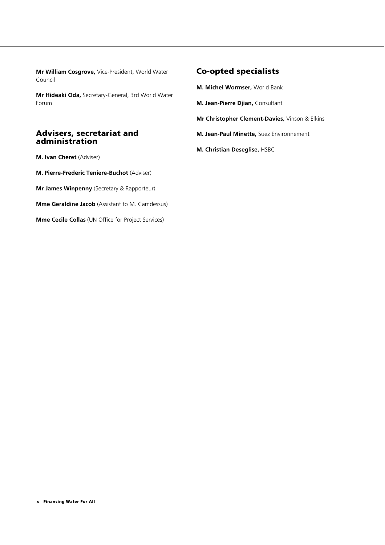**Mr William Cosgrove,** Vice-President, World Water Council

**Mr Hideaki Oda,** Secretary-General, 3rd World Water Forum

#### **Advisers, secretariat and administration**

**M. Ivan Cheret** (Adviser)

**M. Pierre-Frederic Teniere-Buchot** (Adviser)

**Mr James Winpenny** (Secretary & Rapporteur)

**Mme Geraldine Jacob** (Assistant to M. Camdessus)

**Mme Cecile Collas** (UN Office for Project Services)

#### **Co-opted specialists**

**M. Michel Wormser,** World Bank

- **M. Jean-Pierre Djian,** Consultant
- **Mr Christopher Clement-Davies,** Vinson & Elkins
- **M. Jean-Paul Minette,** Suez Environnement
- **M. Christian Deseglise,** HSBC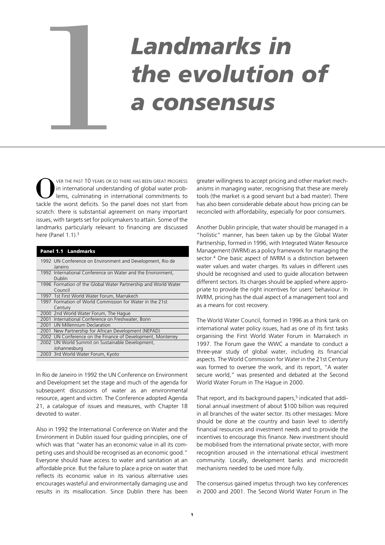# *Landmarks in*  **the evolution of** a consensus

VER THE PAST 10 YEARS OR SO THERE HAS BEEN GREAT PROGRESS in international understanding of global water problems, culminating in international commitments to tackle the worst deficits. So the panel does not start from scratch: there is substantial agreement on many important issues, with targets set for policymakers to attain. Some of the landmarks particularly relevant to financing are discussed here (Panel 1.1).<sup>3</sup>

|                                                          | <b>Panel 1.1 Landmarks</b>                                                |  |  |
|----------------------------------------------------------|---------------------------------------------------------------------------|--|--|
|                                                          | 1992 UN Conference on Environment and Development, Rio de<br>Janeiro      |  |  |
|                                                          | 1992 International Conference on Water and the Environment,<br>Dublin     |  |  |
|                                                          | 1996 Formation of the Global Water Partnership and World Water<br>Council |  |  |
|                                                          | 1997 1st First World Water Forum, Marrakech                               |  |  |
| 1997 Formation of World Commission for Water in the 21st |                                                                           |  |  |
|                                                          | Century                                                                   |  |  |
|                                                          | 2000 2nd World Water Forum, The Hague                                     |  |  |
|                                                          | 2001 International Conference on Freshwater, Bonn                         |  |  |
|                                                          | 2001 UN Millennium Declaration                                            |  |  |
|                                                          | 2001 New Partnership for African Development (NEPAD)                      |  |  |
|                                                          | 2002 UN Conference on the Finance of Development, Monterrey               |  |  |
|                                                          | 2002 UN World Summit on Sustainable Development,                          |  |  |
|                                                          | Johannesburg                                                              |  |  |
|                                                          | 2003 3rd World Water Forum, Kyoto                                         |  |  |
|                                                          |                                                                           |  |  |

In Rio de Janeiro in 1992 the UN Conference on Environment and Development set the stage and much of the agenda for subsequent discussions of water as an environmental resource, agent and victim. The Conference adopted Agenda 21, a catalogue of issues and measures, with Chapter 18 devoted to water.

Also in 1992 the International Conference on Water and the Environment in Dublin issued four guiding principles, one of which was that "water has an economic value in all its competing uses and should be recognised as an economic good." Everyone should have access to water and sanitation at an affordable price. But the failure to place a price on water that reflects its economic value in its various alternative uses encourages wasteful and environmentally damaging use and results in its misallocation. Since Dublin there has been

greater willingness to accept pricing and other market mechanisms in managing water, recognising that these are merely tools (the market is a good servant but a bad master). There has also been considerable debate about how pricing can be reconciled with affordability, especially for poor consumers.

Another Dublin principle, that water should be managed in a "holistic" manner, has been taken up by the Global Water Partnership, formed in 1996, with Integrated Water Resource Management (IWRM) as a policy framework for managing the sector.4 One basic aspect of IWRM is a distinction between water values and water charges. Its values in different uses should be recognised and used to guide allocation between different sectors. Its charges should be applied where appropriate to provide the right incentives for users' behaviour. In IWRM, pricing has the dual aspect of a management tool and as a means for cost recovery.

The World Water Council, formed in 1996 as a think tank on international water policy issues, had as one of its first tasks organising the First World Water Forum in Marrakech in 1997. The Forum gave the WWC a mandate to conduct a three-year study of global water, including its financial aspects. The World Commission for Water in the 21st Century was formed to oversee the work, and its report, "A water secure world," was presented and debated at the Second World Water Forum in The Hague in 2000.

That report, and its background papers,<sup>5</sup> indicated that additional annual investment of about \$100 billion was required in all branches of the water sector. Its other messages: More should be done at the country and basin level to identify financial resources and investment needs and to provide the incentives to encourage this finance. New investment should be mobilised from the international private sector, with more recognition aroused in the international ethical investment community. Locally, development banks and microcredit mechanisms needed to be used more fully.

The consensus gained impetus through two key conferences in 2000 and 2001. The Second World Water Forum in The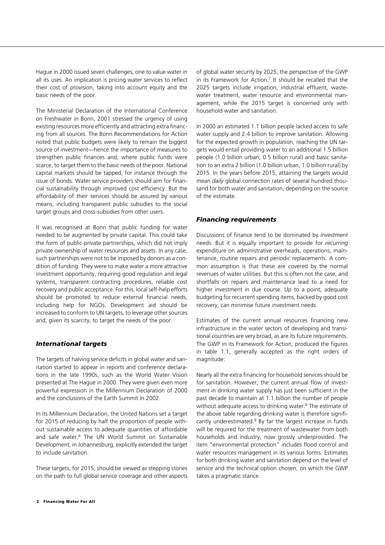Hague in 2000 issued seven challenges, one to value water in all its uses. An implication is pricing water services to reflect their cost of provision, taking into account equity and the basic needs of the poor.

The Ministerial Declaration of the International Conference on Freshwater in Bonn, 2001 stressed the urgency of using existing resources more efficiently and attracting extra financing from all sources. The Bonn Recommendations for Action noted that public budgets were likely to remain the biggest source of investment—hence the importance of measures to strengthen public finances and, where public funds were scarce, to target them to the basic needs of the poor. National capital markets should be tapped, for instance through the issue of bonds. Water service providers should aim for financial sustainability through improved cost efficiency. But the affordability of their services should be assured by various means, including transparent public subsidies to the social target groups and cross-subsidies from other users.

It was recognised at Bonn that public funding for water needed to be augmented by private capital. This could take the form of public-private partnerships, which did not imply private ownership of water resources and assets. In any case, such partnerships were not to be imposed by donors as a condition of funding. They were to make water a more attractive investment opportunity, requiring good regulation and legal systems, transparent contracting procedures, reliable cost recovery and public acceptance. For this, local self-help efforts should be promoted to reduce external financial needs, including help for NGOs. Development aid should be increased to conform to UN targets, to leverage other sources and, given its scarcity, to target the needs of the poor.

#### *International targets*

The targets of halving service deficits in global water and sanitation started to appear in reports and conference declarations in the late 1990s, such as the World Water Vision presented at The Hague in 2000. They were given even more powerful expression in the Millennium Declaration of 2000 and the conclusions of the Earth Summit in 2002.

In its Millennium Declaration, the United Nations set a target for 2015 of reducing by half the proportion of people without sustainable access to adequate quantities of affordable and safe water.6 The UN World Summit on Sustainable Development, in Johannesburg, explicitly extended the target to include sanitation.

These targets, for 2015, should be viewed as stepping stones on the path to full global service coverage and other aspects of global water security by 2025, the perspective of the GWP in its Framework for Action. $7$  It should be recalled that the 2025 targets include irrigation, industrial effluent, wastewater treatment, water resource and environmental management, while the 2015 target is concerned only with household water and sanitation.

In 2000 an estimated 1.1 billion people lacked access to safe water supply and 2.4 billion to improve sanitation. Allowing for the expected growth in population, reaching the UN targets would entail providing water to an additional 1.5 billion people (1.0 billion urban, 0.5 billion rural) and basic sanitation to an extra 2 billion (1.0 billion urban, 1.0 billion rural) by 2015. In the years before 2015, attaining the targets would mean *daily* global connection rates of several hundred thousand for both water and sanitation, depending on the source of the estimate.

#### *Financing requirements*

Discussions of finance tend to be dominated by *investment* needs. But it is equally important to provide for *recurring* expenditure on administrative overheads, operations, maintenance, routine repairs and periodic replacements. A common assumption is that these are covered by the normal revenues of water utilities. But this is often not the case, and shortfalls on repairs and maintenance lead to a need for higher investment in due course. Up to a point, adequate budgeting for recurrent spending items, backed by good cost recovery, can minimise future investment needs.

Estimates of the current annual resources financing new infrastructure in the water sectors of developing and transitional countries are very broad, as are its future requirements. The GWP in its Framework for Action, produced the figures in table 1.1, generally accepted as the right orders of magnitude:

Nearly all the extra financing for household services should be for sanitation. However, the current annual flow of investment in drinking water supply has just been sufficient in the past decade to maintain at 1.1 billion the number of people without adequate access to drinking water. $8$  The estimate of the above table regarding drinking water is therefore significantly underestimated.<sup>9</sup> By far the largest increase in funds will be required for the treatment of wastewater from both households and industry, now grossly underprovided. The item "environmental protection" includes flood control and water resources management in its various forms. Estimates for both drinking water and sanitation depend on the level of service and the technical option chosen, on which the GWP takes a pragmatic stance.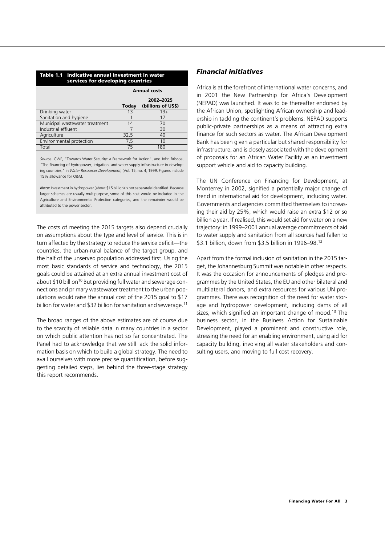| Table 1.1 Indicative annual investment in water<br>services for developing countries |                     |                                 |  |  |
|--------------------------------------------------------------------------------------|---------------------|---------------------------------|--|--|
|                                                                                      | <b>Annual costs</b> |                                 |  |  |
|                                                                                      | Today               | 2002-2025<br>(billions of US\$) |  |  |
| Drinking water                                                                       | 13                  | $13+$                           |  |  |
| Sanitation and hygiene                                                               |                     | 17                              |  |  |
| Municipal wastewater treatment                                                       | 14                  | 70                              |  |  |
| Industrial effluent                                                                  |                     | 30                              |  |  |
| Agriculture                                                                          | 32.5                | 40                              |  |  |
| Environmental protection                                                             | 7.5                 | 10                              |  |  |
| Total                                                                                | 75                  | 180                             |  |  |

*Source:* GWP, "Towards Water Security: a Framework for Action", and John Briscoe, "The financing of hydropower, irrigation, and water supply infrastructure in developing countries," in *Water Resources Development,* (Vol. 15, no. 4, 1999. Figures include 15% allowance for O&M.

*Note:* Investment in hydropower (about \$15 billion) is not separately identified. Because larger schemes are usually multipurpose, some of this cost would be included in the Agriculture and Environmental Protection categories, and the remainder would be attributed to the power sector.

The costs of meeting the 2015 targets also depend crucially on assumptions about the type and level of service. This is in turn affected by the strategy to reduce the service deficit—the countries, the urban-rural balance of the target group, and the half of the unserved population addressed first. Using the most basic standards of service and technology, the 2015 goals could be attained at an extra annual investment cost of about \$10 billion<sup>10</sup> But providing full water and sewerage connections and primary wastewater treatment to the urban populations would raise the annual cost of the 2015 goal to \$17 billion for water and \$32 billion for sanitation and sewerage.<sup>11</sup>

The broad ranges of the above estimates are of course due to the scarcity of reliable data in many countries in a sector on which public attention has not so far concentrated. The Panel had to acknowledge that we still lack the solid information basis on which to build a global strategy. The need to avail ourselves with more precise quantification, before suggesting detailed steps, lies behind the three-stage strategy this report recommends.

#### *Financial initiatives*

Africa is at the forefront of international water concerns, and in 2001 the New Partnership for Africa's Development (NEPAD) was launched. It was to be thereafter endorsed by the African Union, spotlighting African ownership and leadership in tackling the continent's problems. NEPAD supports public-private partnerships as a means of attracting extra finance for such sectors as water. The African Development Bank has been given a particular but shared responsibility for infrastructure, and is closely associated with the development of proposals for an African Water Facility as an investment support vehicle and aid to capacity building.

The UN Conference on Financing for Development, at Monterrey in 2002, signified a potentially major change of trend in international aid for development, including water. Governments and agencies committed themselves to increasing their aid by 25%, which would raise an extra \$12 or so billion a year. If realised, this would set aid for water on a new trajectory: in 1999–2001 annual average commitments of aid to water supply and sanitation from all sources had fallen to \$3.1 billion, down from \$3.5 billion in 1996–98.12

Apart from the formal inclusion of sanitation in the 2015 target, the Johannesburg Summit was notable in other respects. It was the occasion for announcements of pledges and programmes by the United States, the EU and other bilateral and multilateral donors, and extra resources for various UN programmes. There was recognition of the need for water storage and hydropower development, including dams of all sizes, which signified an important change of mood.<sup>13</sup> The business sector, in the Business Action for Sustainable Development, played a prominent and constructive role, stressing the need for an enabling environment, using aid for capacity building, involving all water stakeholders and consulting users, and moving to full cost recovery.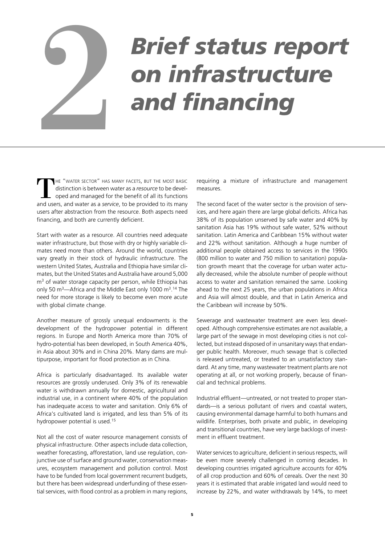# *Brief status report* **but in the Superior Serief status report**<br>and financing

HE "WATER SECTOR" HAS MANY FACETS, BUT THE MOST BASIC distinction is between water as a *resource* to be developed and managed for the benefit of all its functions and users, and water as a *service*, to be provided to its many users after abstraction from the resource. Both aspects need financing, and both are currently deficient.

Start with water as a resource. All countries need adequate water infrastructure, but those with dry or highly variable climates need more than others. Around the world, countries vary greatly in their stock of hydraulic infrastructure. The western United States, Australia and Ethiopia have similar climates, but the United States and Australia have around 5,000 m<sup>3</sup> of water storage capacity per person, while Ethiopia has only 50 m<sup>3</sup>—Africa and the Middle East only 1000 m<sup>3</sup>.<sup>14</sup> The need for more storage is likely to become even more acute with global climate change.

Another measure of grossly unequal endowments is the development of the hydropower potential in different regions. In Europe and North America more than 70% of hydro-potential has been developed, in South America 40%, in Asia about 30% and in China 20%. Many dams are multipurpose, important for flood protection as in China.

Africa is particularly disadvantaged. Its available water resources are grossly underused. Only 3% of its renewable water is withdrawn annually for domestic, agricultural and industrial use, in a continent where 40% of the population has inadequate access to water and sanitation. Only 6% of Africa's cultivated land is irrigated, and less than 5% of its hydropower potential is used.15

Not all the cost of water resource management consists of physical infrastructure. Other aspects include data collection, weather forecasting, afforestation, land use regulation, conjunctive use of surface and ground water, conservation measures, ecosystem management and pollution control. Most have to be funded from local government recurrent budgets, but there has been widespread underfunding of these essential services, with flood control as a problem in many regions,

requiring a mixture of infrastructure and management measures.

The second facet of the water sector is the provision of services, and here again there are large global deficits. Africa has 38% of its population unserved by safe water and 40% by sanitation Asia has 19% without safe water, 52% without sanitation. Latin America and Caribbean 15% without water and 22% without sanitation. Although a huge number of additional people obtained access to services in the 1990s (800 million to water and 750 million to sanitation) population growth meant that the coverage for urban water actually decreased, while the absolute number of people without access to water and sanitation remained the same. Looking ahead to the next 25 years, the urban populations in Africa and Asia will almost double, and that in Latin America and the Caribbean will increase by 50%.

Sewerage and wastewater treatment are even less developed. Although comprehensive estimates are not available, a large part of the sewage in most developing cities is not collected, but instead disposed of in unsanitary ways that endanger public health. Moreover, much sewage that is collected is released untreated, or treated to an unsatisfactory standard. At any time, many wastewater treatment plants are not operating at all, or not working properly, because of financial and technical problems.

Industrial effluent—untreated, or not treated to proper standards—is a serious pollutant of rivers and coastal waters, causing environmental damage harmful to both humans and wildlife. Enterprises, both private and public, in developing and transitional countries, have very large backlogs of investment in effluent treatment.

Water services to agriculture, deficient in serious respects, will be even more severely challenged in coming decades. In developing countries irrigated agriculture accounts for 40% of all crop production and 60% of cereals. Over the next 30 years it is estimated that arable irrigated land would need to increase by 22%, and water withdrawals by 14%, to meet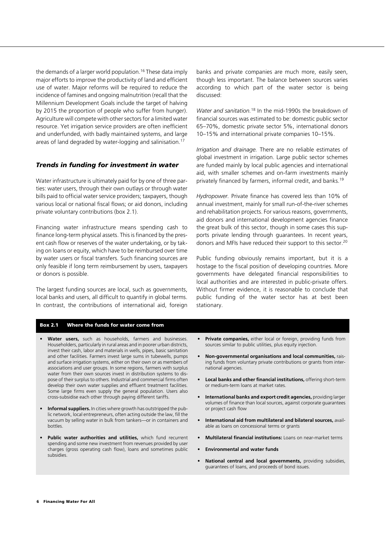the demands of a larger world population.<sup>16</sup> These data imply major efforts to improve the productivity of land and efficient use of water. Major reforms will be required to reduce the incidence of famines and ongoing malnutrition (recall that the Millennium Development Goals include the target of halving by 2015 the proportion of people who suffer from hunger). Agriculture will compete with other sectors for a limited water resource. Yet irrigation service providers are often inefficient and underfunded, with badly maintained systems, and large areas of land degraded by water-logging and salinisation.17

#### *Trends in funding for investment in water*

Water infrastructure is ultimately paid for by one of three parties: water users, through their own outlays or through water bills paid to official water service providers; taxpayers, though various local or national fiscal flows; or aid donors, including private voluntary contributions (box 2.1).

Financing water infrastructure means spending cash to finance long-term physical assets. This is financed by the present cash flow or reserves of the water undertaking, or by taking on loans or equity, which have to be reimbursed over time by water users or fiscal transfers. Such financing sources are only feasible if long term reimbursement by users, taxpayers or donors is possible.

The largest funding sources are local, such as governments, local banks and users, all difficult to quantify in global terms. In contrast, the contributions of international aid, foreign banks and private companies are much more, easily seen, though less important. The balance between sources varies according to which part of the water sector is being discussed:

*Water and sanitation.*<sup>18</sup> In the mid-1990s the breakdown of financial sources was estimated to be: domestic public sector 65–70%, domestic private sector 5%, international donors 10–15% and international private companies 10–15%.

*Irrigation and drainage.* There are no reliable estimates of global investment in irrigation. Large public sector schemes are funded mainly by local public agencies and international aid, with smaller schemes and on-farm investments mainly privately financed by farmers, informal credit, and banks.19

*Hydropower.* Private finance has covered less than 10% of annual investment, mainly for small run-of-the-river schemes and rehabilitation projects. For various reasons, governments, aid donors and international development agencies finance the great bulk of this sector, though in some cases this supports private lending through guarantees. In recent years, donors and MFIs have reduced their support to this sector.20

Public funding obviously remains important, but it is a hostage to the fiscal position of developing countries. More governments have delegated financial responsibilities to local authorities and are interested in public-private offers. Without firmer evidence, it is reasonable to conclude that public funding of the water sector has at best been stationary.

#### **Box 2.1 Where the funds for water come from**

- **Water users,** such as households, farmers and businesses. Householders, particularly in rural areas and in poorer urban districts, invest their cash, labor and materials in wells, pipes, basic sanitation and other facilities. Farmers invest large sums in tubewells, pumps and surface irrigation systems, either on their own or as members of associations and user groups. In some regions, farmers with surplus water from their own sources invest in distribution systems to dispose of their surplus to others. Industrial and commercial firms often develop their own water supplies and effluent treatment facilities. Some large firms even supply the general population. Users also cross-subsidise each other through paying different tariffs.
- **Informal suppliers.** In cities where growth has outstripped the public network, local entrepreneurs, often acting outside the law, fill the vacuum by selling water in bulk from tankers—or in containers and bottles.
- **Public water authorities and utilities,** which fund recurrent spending and some new investment from revenues provided by user charges (gross operating cash flow), loans and sometimes public subsidies.
- **Private companies,** either local or foreign, providing funds from sources similar to public utilities, plus equity injection.
- **Non-governmental organisations and local communities,** raising funds from voluntary private contributions or grants from international agencies.
- **Local banks and other financial institutions,** offering short-term or medium-term loans at market rates.
- **International banks and export credit agencies,** providing larger volumes of finance than local sources, against corporate guarantees or project cash flow
- **International aid from multilateral and bilateral sources,** available as loans on concessional terms or grants
- **Multilateral financial institutions:** Loans on near-market terms
- **Environmental and water funds**
- **National central and local governments,** providing subsidies, guarantees of loans, and proceeds of bond issues.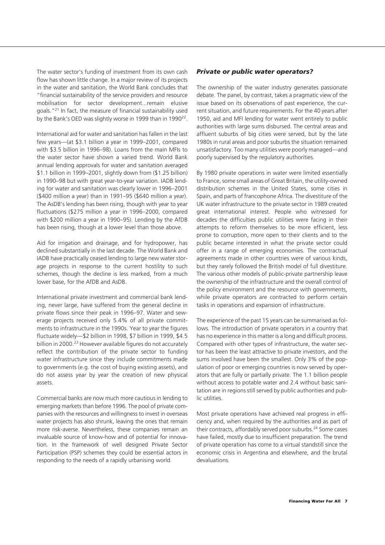The water sector's funding of investment from its own cash flow has shown little change. In a major review of its projects in the water and sanitation, the World Bank concludes that "financial sustainability of the service providers and resource mobilisation for sector development...remain elusive goals."21 In fact, the measure of financial sustainability used by the Bank's OED was slightly worse in 1999 than in 1990<sup>22</sup>.

International aid for water and sanitation has fallen in the last few years—(at \$3.1 billion a year in 1999–2001, compared with \$3.5 billion in 1996–98). Loans from the main MFIs to the water sector have shown a varied trend. World Bank annual lending approvals for water and sanitation averaged \$1.1 billion in 1999–2001, slightly down from (\$1.25 billion) in 1990–98 but with great year-to-year variation. IADB lending for water and sanitation was clearly lower in 1996–2001 (\$400 million a year) than in 1991–95 (\$640 million a year). The AsDB's lending has been rising, though with year to year fluctuations (\$275 million a year in 1996–2000, compared with \$200 million a year in 1990–95). Lending by the AfDB has been rising, though at a lower level than those above.

Aid for irrigation and drainage, and for hydropower, has declined substantially in the last decade. The World Bank and IADB have practically ceased lending to large new water storage projects in response to the current hostility to such schemes, though the decline is less marked, from a much lower base, for the AfDB and AsDB.

International private investment and commercial bank lending, never large, have suffered from the general decline in private flows since their peak in 1996–97. Water and sewerage projects received only 5.4% of all private commitments to infrastructure in the 1990s. Year to year the figures fluctuate widely—\$2 billion in 1998, \$7 billion in 1999, \$4.5 billion in 2000.<sup>23</sup> However available figures do not accurately reflect the contribution of the private sector to funding water infrastructure since they include commitments made to governments (e.g. the cost of buying existing assets), and do not assess year by year the creation of new physical assets.

Commercial banks are now much more cautious in lending to emerging markets than before 1996. The pool of private companies with the resources and willingness to invest in overseas water projects has also shrunk, leaving the ones that remain more risk-averse. Nevertheless, these companies remain an invaluable source of know-how and of potential for innovation. In the framework of well designed Private Sector Participation (PSP) schemes they could be essential actors in responding to the needs of a rapidly urbanising world.

#### *Private or public water operators?*

The ownership of the water industry generates passionate debate. The panel, by contrast, takes a pragmatic view of the issue based on its observations of past experience, the current situation, and future requirements. For the 40 years after 1950, aid and MFI lending for water went entirely to public authorities with large sums disbursed. The central areas and affluent suburbs of big cities were served, but by the late 1980s in rural areas and poor suburbs the situation remained unsatisfactory. Too many utilities were poorly managed—and poorly supervised by the regulatory authorities.

By 1980 private operations in water were limited essentially to France, some small areas of Great Britain, the utility-owned distribution schemes in the United States, some cities in Spain, and parts of francophone Africa. The divestiture of the UK water infrastructure to the private sector in 1989 created great international interest. People who witnessed for decades the difficulties public utilities were facing in their attempts to reform themselves to be more efficient, less prone to corruption, more open to their clients and to the public became interested in what the private sector could offer in a range of emerging economies. The contractual agreements made in other countries were of various kinds, but they rarely followed the British model of full divestiture. The various other models of public-private partnership leave the ownership of the infrastructure and the overall control of the policy environment and the resource with governments, while private operators are contracted to perform certain tasks in operations and expansion of infrastructure.

The experience of the past 15 years can be summarised as follows. The introduction of private operators in a country that has no experience in this matter is a long and difficult process. Compared with other types of infrastructure, the water sector has been the least attractive to private investors, and the sums involved have been the smallest. Only 3% of the population of poor or emerging countries is now served by operators that are fully or partially private. The 1.1 billion people without access to potable water and 2.4 without basic sanitation are in regions still served by public authorities and public utilities.

Most private operations have achieved real progress in efficiency and, when required by the authorities and as part of their contracts, affordably served poor suburbs.<sup>24</sup> Some cases have failed, mostly due to insufficient preparation. The trend of private operation has come to a virtual standstill since the economic crisis in Argentina and elsewhere, and the brutal devaluations.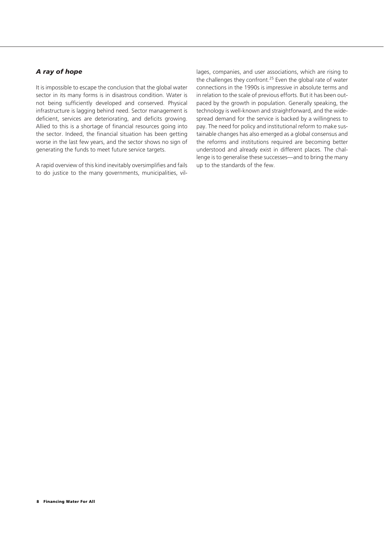#### *A ray of hope*

It is impossible to escape the conclusion that the global water sector in its many forms is in disastrous condition. Water is not being sufficiently developed and conserved. Physical infrastructure is lagging behind need. Sector management is deficient, services are deteriorating, and deficits growing. Allied to this is a shortage of financial resources going into the sector. Indeed, the financial situation has been getting worse in the last few years, and the sector shows no sign of generating the funds to meet future service targets.

A rapid overview of this kind inevitably oversimplifies and fails to do justice to the many governments, municipalities, villages, companies, and user associations, which are rising to the challenges they confront.<sup>25</sup> Even the global rate of water connections in the 1990s is impressive in absolute terms and in relation to the scale of previous efforts. But it has been outpaced by the growth in population. Generally speaking, the technology is well-known and straightforward, and the widespread demand for the service is backed by a willingness to pay. The need for policy and institutional reform to make sustainable changes has also emerged as a global consensus and the reforms and institutions required are becoming better understood and already exist in different places. The challenge is to generalise these successes—and to bring the many up to the standards of the few.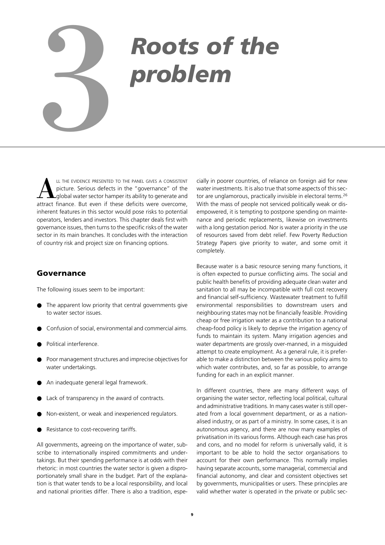# *Roots of the* **Problem**

LL THE EVIDENCE PRESENTED TO THE PANEL GIVES A CONSISTENT picture. Serious defects in the "governance" of the global water sector hamper its ability to generate and attract finance. But even if these deficits were overcome, inherent features in this sector would pose risks to potential operators, lenders and investors. This chapter deals first with governance issues, then turns to the specific risks of the water sector in its main branches. It concludes with the interaction of country risk and project size on financing options.

#### **Governance**

The following issues seem to be important:

- The apparent low priority that central governments give to water sector issues.
- Confusion of social, environmental and commercial aims.
- Political interference.
- Poor management structures and imprecise objectives for water undertakings.
- An inadequate general legal framework.
- Lack of transparency in the award of contracts.
- Non-existent, or weak and inexperienced regulators.
- Resistance to cost-recovering tariffs.

All governments, agreeing on the importance of water, subscribe to internationally inspired commitments and undertakings. But their spending performance is at odds with their rhetoric: in most countries the water sector is given a disproportionately small share in the budget. Part of the explanation is that water tends to be a local responsibility, and local and national priorities differ. There is also a tradition, especially in poorer countries, of reliance on foreign aid for new water investments. It is also true that some aspects of this sector are unglamorous, practically invisible in electoral terms.<sup>26</sup> With the mass of people not serviced politically weak or disempowered, it is tempting to postpone spending on maintenance and periodic replacements, likewise on investments with a long gestation period. Nor is water a priority in the use of resources saved from debt relief. Few Poverty Reduction Strategy Papers give priority to water, and some omit it completely.

Because water is a basic resource serving many functions, it is often expected to pursue conflicting aims. The social and public health benefits of providing adequate clean water and sanitation to all may be incompatible with full cost recovery and financial self-sufficiency. Wastewater treatment to fulfill environmental responsibilities to downstream users and neighbouring states may not be financially feasible. Providing cheap or free irrigation water as a contribution to a national cheap-food policy is likely to deprive the irrigation agency of funds to maintain its system. Many irrigation agencies and water departments are grossly over-manned, in a misguided attempt to create employment. As a general rule, it is preferable to make a distinction between the various policy aims to which water contributes, and, so far as possible, to arrange funding for each in an explicit manner.

In different countries, there are many different ways of organising the water sector, reflecting local political, cultural and administrative traditions. In many cases water is still operated from a local government department, or as a nationalised industry, or as part of a ministry. In some cases, it is an autonomous agency, and there are now many examples of privatisation in its various forms. Although each case has pros and cons, and no model for reform is universally valid, it is important to be able to hold the sector organisations to account for their own performance. This normally implies having separate accounts, some managerial, commercial and financial autonomy, and clear and consistent objectives set by governments, municipalities or users. These principles are valid whether water is operated in the private or public sec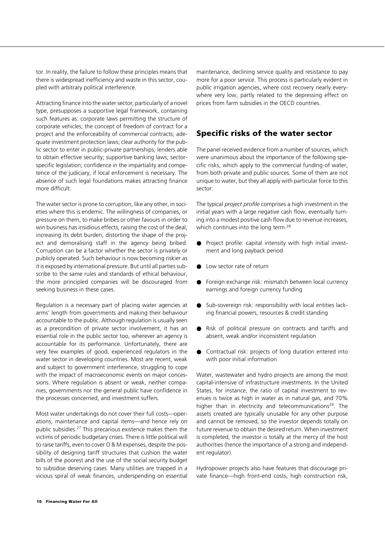tor. In reality, the failure to follow these principles means that there is widespread inefficiency and waste in this sector, coupled with arbitrary political interference.

Attracting finance into the water sector, particularly of a novel type, presupposes a supportive legal framework, containing such features as: corporate laws permitting the structure of corporate vehicles; the concept of freedom of contract for a project and the enforceability of commercial contracts; adequate investment protection laws; clear authority for the public sector to enter in public-private partnerships; lenders able to obtain effective security; supportive banking laws; sectorspecific legislation; confidence in the impartiality and competence of the judiciary, if local enforcement is necessary. The absence of such legal foundations makes attracting finance more difficult.

The water sector is prone to corruption, like any other, in societies where this is endemic. The willingness of companies, or pressure on them, to make bribes or other favours in order to win business has insidious effects, raising the cost of the deal, increasing its debt burden, distorting the shape of the project and demoralising staff in the agency being bribed. Corruption can be a factor whether the sector is privately or publicly operated. Such behaviour is now becoming riskier as it is exposed by international pressure. But until all parties subscribe to the same rules and standards of ethical behaviour, the more principled companies will be discouraged from seeking business in these cases.

Regulation is a necessary part of placing water agencies at arms' length from governments and making their behaviour accountable to the public. Although regulation is usually seen as a precondition of private sector involvement, it has an essential role in the public sector too, wherever an agency is accountable for its performance. Unfortunately, there are very few examples of good, experienced regulators in the water sector in developing countries. Most are recent, weak and subject to government interference, struggling to cope with the impact of macroeconomic events on major concessions. Where regulation is absent or weak, neither companies, governments nor the general public have confidence in the processes concerned, and investment suffers.

Most water undertakings do not cover their full costs—operations, maintenance and capital items—and hence rely on public subsidies.27 This precarious existence makes them the victims of periodic budgetary crises. There is little political will to raise tariffs, even to cover O & M expenses, despite the possibility of designing tariff structures that cushion the water bills of the poorest and the use of the social security budget to subsidise deserving cases. Many utilities are trapped in a vicious spiral of weak finances, underspending on essential maintenance, declining service quality and resistance to pay more for a poor service. This process is particularly evident in public irrigation agencies, where cost recovery nearly everywhere very low, partly related to the depressing effect on prices from farm subsidies in the OECD countries.

#### **Specific risks of the water sector**

The panel received evidence from a number of sources, which were unanimous about the importance of the following specific risks, which apply to the commercial funding of water, from both private and public sources. Some of them are not unique to water, but they all apply with particular force to this sector:

The typical *project profile* comprises a high investment in the initial years with a large negative cash flow, eventually turning into a modest positive cash flow due to revenue increases, which continues into the long term.<sup>28</sup>

- Project profile: capital intensity with high initial investment and long payback period
- Low sector rate of return
- Foreign exchange risk: mismatch between local currency earnings and foreign currency funding
- Sub-sovereign risk: responsibility with local entities lacking financial powers, resources & credit standing
- Risk of political pressure on contracts and tariffs and absent, weak and/or inconsistent regulation
- Contractual risk: projects of long duration entered into with poor initial information

Water, wastewater and hydro projects are among the most capital-intensive of infrastructure investments. In the United States, for instance, the ratio of capital investment to revenues is twice as high in water as in natural gas, and 70% higher than in electricity and telecommunications<sup>29</sup>. The assets created are typically unusable for any other purpose and cannot be removed, so the investor depends totally on future revenue to obtain the desired return. When investment is completed, the investor is totally at the mercy of the host authorities (hence the importance of a strong and independent regulator).

Hydropower projects also have features that discourage private finance—high front-end costs, high construction risk,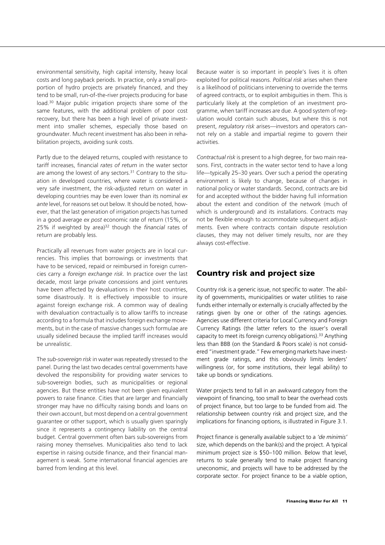environmental sensitivity, high capital intensity, heavy local costs and long payback periods. In practice, only a small proportion of hydro projects are privately financed, and they tend to be small, run-of-the-river projects producing for base load.30 Major public irrigation projects share some of the same features, with the additional problem of poor cost recovery, but there has been a high level of private investment into smaller schemes, especially those based on groundwater. Much recent investment has also been in rehabilitation projects, avoiding sunk costs.

Partly due to the delayed returns, coupled with resistance to tariff increases, financial *rates of return* in the water sector are among the lowest of any sectors.<sup>31</sup> Contrary to the situation in developed countries, where water is considered a very safe investment, the risk-adjusted return on water in developing countries may be even lower than its nominal *ex ante* level, for reasons set out below. It should be noted, however, that the last generation of irrigation projects has turned in a good average *ex post* economic rate of return (15%, or 25% if weighted by area)32 though the *financial* rates of return are probably less.

Practically all revenues from water projects are in local currencies. This implies that borrowings or investments that have to be serviced, repaid or reimbursed in foreign currencies carry a *foreign exchange risk.* In practice over the last decade, most large private concessions and joint ventures have been affected by devaluations in their host countries, some disastrously. It is effectively impossible to insure against foreign exchange risk. A common way of dealing with devaluation contractually is to allow tariffs to increase according to a formula that includes foreign exchange movements, but in the case of massive changes such formulae are usually sidelined because the implied tariff increases would be unrealistic.

The *sub-sovereign risk* in water was repeatedly stressed to the panel. During the last two decades central governments have devolved the responsibility for providing water services to sub-sovereign bodies, such as municipalities or regional agencies. But these entities have not been given equivalent powers to raise finance. Cities that are larger and financially stronger may have no difficulty raising bonds and loans on their own account, but most depend on a central government guarantee or other support, which is usually given sparingly since it represents a contingency liability on the central budget. Central government often bars sub-sovereigns from raising money themselves. Municipalities also tend to lack expertise in raising outside finance, and their financial management is weak. Some international financial agencies are barred from lending at this level.

Because water is so important in people's lives it is often exploited for political reasons. *Political risk* arises when there is a likelihood of politicians intervening to override the terms of agreed contracts, or to exploit ambiguities in them. This is particularly likely at the completion of an investment programme, when tariff increases are due. A good system of regulation would contain such abuses, but where this is not present, *regulatory risk* arises—investors and operators cannot rely on a stable and impartial regime to govern their activities.

*Contractual risk* is present to a high degree, for two main reasons. First, contracts in the water sector tend to have a long life—typically 25–30 years. Over such a period the operating environment is likely to change, because of changes in national policy or water standards. Second, contracts are bid for and accepted without the bidder having full information about the extent and condition of the network (much of which is underground) and its installations. Contracts may not be flexible enough to accommodate subsequent adjustments. Even where contracts contain dispute resolution clauses, they may not deliver timely results, nor are they always cost-effective.

#### **Country risk and project size**

Country risk is a generic issue, not specific to water. The ability of governments, municipalities or water utilities to raise funds either internally or externally is crucially affected by the ratings given by one or other of the ratings agencies. Agencies use different criteria for Local Currency and Foreign Currency Ratings (the latter refers to the issuer's overall capacity to meet its foreign currency obligations).<sup>33</sup> Anything less than BBB (on the Standard & Poors scale) is not considered "investment grade." Few emerging markets have investment grade ratings, and this obviously limits lenders' willingness (or, for some institutions, their legal ability) to take up bonds or syndications.

Water projects tend to fall in an awkward category from the viewpoint of financing, too small to bear the overhead costs of project finance, but too large to be funded from aid. The relationship between country risk and project size, and the implications for financing options, is illustrated in Figure 3.1.

Project finance is generally available subject to a *'de minimis'* size, which depends on the bank(s) and the project. A typical minimum project size is \$50–100 million. Below that level, returns to scale generally tend to make project financing uneconomic, and projects will have to be addressed by the corporate sector. For project finance to be a viable option,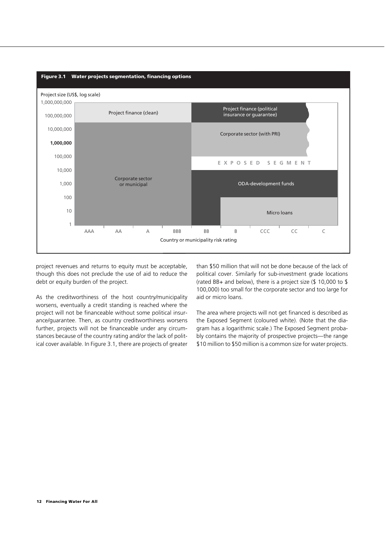

project revenues and returns to equity must be acceptable, though this does not preclude the use of aid to reduce the debt or equity burden of the project.

As the creditworthiness of the host country/municipality worsens, eventually a credit standing is reached where the project will not be financeable without some political insurance/guarantee. Then, as country creditworthiness worsens further, projects will not be financeable under any circumstances because of the country rating and/or the lack of political cover available. In Figure 3.1, there are projects of greater

than \$50 million that will not be done because of the lack of political cover. Similarly for sub-investment grade locations (rated BB+ and below), there is a project size (\$ 10,000 to \$ 100,000) too small for the corporate sector and too large for aid or micro loans.

The area where projects will not get financed is described as the Exposed Segment (coloured white). (Note that the diagram has a logarithmic scale.) The Exposed Segment probably contains the majority of prospective projects—the range \$10 million to \$50 million is a common size for water projects.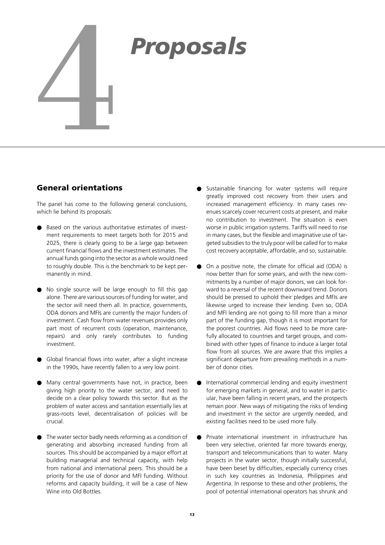# *Proposals*<br>
<sup>4</sup>

#### **General orientations**

The panel has come to the following general conclusions, which lie behind its proposals:

- Based on the various authoritative estimates of investment requirements to meet targets both for 2015 and 2025, there is clearly going to be a large gap between current financial flows and the investment estimates. The annual funds going into the sector as a whole would need to roughly double. This is the benchmark to be kept permanently in mind.
- No single source will be large enough to fill this gap alone. There are various sources of funding for water, and the sector will need them all. In practice, governments, ODA donors and MFIs are currently the major funders of investment. Cash flow from water revenues provides only part most of recurrent costs (operation, maintenance, repairs) and only rarely contributes to funding investment.
- Global financial flows into water, after a slight increase in the 1990s, have recently fallen to a very low point.
- Many central governments have not, in practice, been giving high priority to the water sector, and need to decide on a clear policy towards this sector. But as the problem of water access and sanitation essentially lies at grass-roots level, decentralisation of policies will be crucial.
- The water sector badly needs reforming as a condition of generating and absorbing increased funding from all sources. This should be accompanied by a major effort at building managerial and technical capacity, with help from national and international peers. This should be a priority for the use of donor and MFI funding. Without reforms and capacity building, it will be a case of New Wine into Old Bottles.
- Sustainable financing for water systems will require greatly improved cost recovery from their users and increased management efficiency. In many cases revenues scarcely cover recurrent costs at present, and make no contribution to investment. The situation is even worse in public irrigation systems. Tariffs will need to rise in many cases, but the flexible and imaginative use of targeted subsidies to the truly poor will be called for to make cost recovery acceptable, affordable, and so, sustainable.
- On a positive note, the climate for official aid (ODA) is now better than for some years, and with the new commitments by a number of major donors, we can look forward to a reversal of the recent downward trend. Donors should be pressed to uphold their pledges and MFIs are likewise urged to increase their lending. Even so, ODA and MFI lending are not going to fill more than a minor part of the funding gap, though it is most important for the poorest countries. Aid flows need to be more carefully allocated to countries and target groups, and combined with other types of finance to induce a larger total flow from all sources. We are aware that this implies a significant departure from prevailing methods in a number of donor cities.
- International commercial lending and equity investment for emerging markets in general, and to water in particular, have been falling in recent years, and the prospects remain poor. New ways of mitigating the risks of lending and investment in the sector are urgently needed, and existing facilities need to be used more fully.
- Private international investment in infrastructure has been very selective, oriented far more towards energy, transport and telecommunications than to water. Many projects in the water sector, though initially successful, have been beset by difficulties, especially currency crises in such key countries as Indonesia, Philippines and Argentina. In response to these and other problems, the pool of potential international operators has shrunk and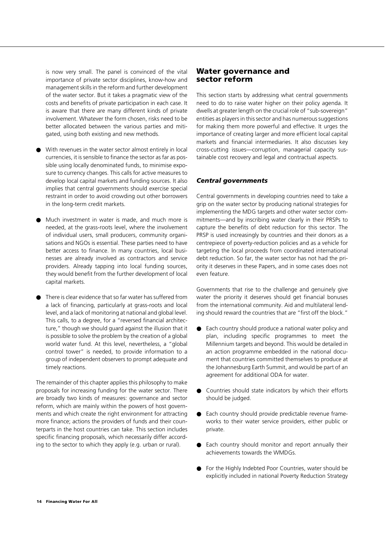is now very small. The panel is convinced of the vital importance of private sector disciplines, know-how and management skills in the reform and further development of the water sector. But it takes a pragmatic view of the costs and benefits of private participation in each case. It is aware that there are many different kinds of private involvement. Whatever the form chosen, risks need to be better allocated between the various parties and mitigated, using both existing and new methods.

- With revenues in the water sector almost entirely in local currencies, it is sensible to finance the sector as far as possible using locally denominated funds, to minimise exposure to currency changes. This calls for active measures to develop local capital markets and funding sources. It also implies that central governments should exercise special restraint in order to avoid crowding out other borrowers in the long-term credit markets.
- Much investment in water is made, and much more is needed, at the grass-roots level, where the involvement of individual users, small producers, community organisations and NGOs is essential. These parties need to have better access to finance. In many countries, local businesses are already involved as contractors and service providers. Already tapping into local funding sources, they would benefit from the further development of local capital markets.
- There is clear evidence that so far water has suffered from a lack of financing, particularly at grass-roots and local level, and a lack of monitoring at national and global level. This calls, to a degree, for a "reversed financial architecture," though we should guard against the illusion that it is possible to solve the problem by the creation of a global world water fund. At this level, nevertheless, a "global control tower" is needed, to provide information to a group of independent observers to prompt adequate and timely reactions.

The remainder of this chapter applies this philosophy to make proposals for increasing funding for the water sector. There are broadly two kinds of measures: governance and sector reform, which are mainly within the powers of host governments and which create the right environment for attracting more finance; actions the providers of funds and their counterparts in the host countries can take. This section includes specific financing proposals, which necessarily differ according to the sector to which they apply (e.g. urban or rural).

#### **Water governance and sector reform**

This section starts by addressing what central governments need to do to raise water higher on their policy agenda. It dwells at greater length on the crucial role of "sub-sovereign" entities as players in this sector and has numerous suggestions for making them more powerful and effective. It urges the importance of creating larger and more efficient local capital markets and financial intermediaries. It also discusses key cross-cutting issues—corruption, managerial capacity sustainable cost recovery and legal and contractual aspects.

#### *Central governments*

Central governments in developing countries need to take a grip on the water sector by producing national strategies for implementing the MDG targets and other water sector commitments—and by inscribing water clearly in their PRSPs to capture the benefits of debt reduction for this sector. The PRSP is used increasingly by countries and their donors as a centrepiece of poverty-reduction policies and as a vehicle for targeting the local proceeds from coordinated international debt reduction. So far, the water sector has not had the priority it deserves in these Papers, and in some cases does not even feature.

Governments that rise to the challenge and genuinely give water the priority it deserves should get financial bonuses from the international community. Aid and multilateral lending should reward the countries that are "first off the block."

- Each country should produce a national water policy and plan, including specific programmes to meet the Millennium targets and beyond. This would be detailed in an action programme embedded in the national document that countries committed themselves to produce at the Johannesburg Earth Summit, and would be part of an agreement for additional ODA for water.
- Countries should state indicators by which their efforts should be judged.
- Each country should provide predictable revenue frameworks to their water service providers, either public or private.
- Each country should monitor and report annually their achievements towards the WMDGs.
- For the Highly Indebted Poor Countries, water should be explicitly included in national Poverty Reduction Strategy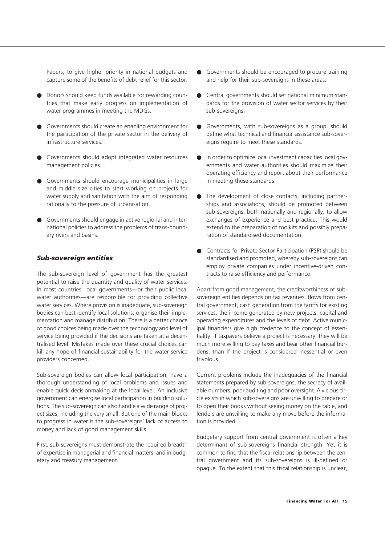Papers, to give higher priority in national budgets and capture some of the benefits of debt relief for this sector.

- Donors should keep funds available for rewarding countries that make early progress on implementation of water programmes in meeting the MDGs.
- Governments should create an enabling environment for the participation of the private sector in the delivery of infrastructure services.
- Governments should adopt integrated water resources management policies.
- Governments should encourage municipalities in large and middle size cities to start working on projects for water supply and sanitation with the aim of responding rationally to the pressure of urbanisation.
- Governments should engage in active regional and international policies to address the problems of trans-boundary rivers and basins.

#### *Sub-sovereign entities*

The sub-sovereign level of government has the greatest potential to raise the quantity and quality of water services. In most countries, local governments—or their public local water authorities—are responsible for providing collective water services. Where provision is inadequate, sub-sovereign bodies can best identify local solutions, organise their implementation and manage distribution. There is a better chance of good choices being made over the technology and level of service being provided if the decisions are taken at a decentralised level. Mistakes made over these crucial choices can kill any hope of financial sustainability for the water service providers concerned.

Sub-sovereign bodies can allow local participation, have a thorough understanding of local problems and issues and enable quick decisionmaking at the local level. An inclusive government can energise local participation in building solutions. The sub-sovereign can also handle a wide range of project sizes, including the very small. But one of the main blocks to progress in water is the sub-sovereigns' lack of access to money and lack of good management skills.

First, sub-sovereigns must demonstrate the required breadth of expertise in managerial and financial matters, and in budgetary and treasury management.

- Governments should be encouraged to procure training and help for their sub-sovereigns in these areas.
- Central governments should set national minimum standards for the provision of water sector services by their sub-sovereigns.
- Governments, with sub-sovereigns as a group, should define what technical and financial assistance sub-sovereigns require to meet these standards.
- In order to optimize local investment capacities local governments and water authorities should maximize their operating efficiency and report about their performance in meeting these standards.
- The development of close contacts, including partnerships and associations, should be promoted between sub-sovereigns, both nationally and regionally, to allow exchanges of experience and best practice. This would extend to the preparation of toolkits and possibly preparation of standardised documentation.
- Contracts for Private Sector Participation (PSP) should be standardised and promoted, whereby sub-sovereigns can employ private companies under incentive-driven contracts to raise efficiency and performance.

Apart from good management, the creditworthiness of subsovereign entities depends on tax revenues, flows from central government, cash generation from the tariffs for existing services, the income generated by new projects, capital and operating expenditures and the levels of debt. Active municipal financiers give high credence to the concept of essentiality. If taxpayers believe a project is necessary, they will be much more willing to pay taxes and bear other financial burdens, than if the project is considered inessential or even frivolous.

Current problems include the inadequacies of the financial statements prepared by sub-sovereigns, the secrecy of available numbers, poor auditing and poor oversight. A vicious circle exists in which sub-sovereigns are unwilling to prepare or to open their books without seeing money on the table, and lenders are unwilling to make any move before the information is provided.

Budgetary support from central government is often a key determinant of sub-sovereigns financial strength. Yet it is common to find that the fiscal relationship between the central government and its sub-sovereigns is ill-defined or opaque. To the extent that this fiscal relationship is unclear,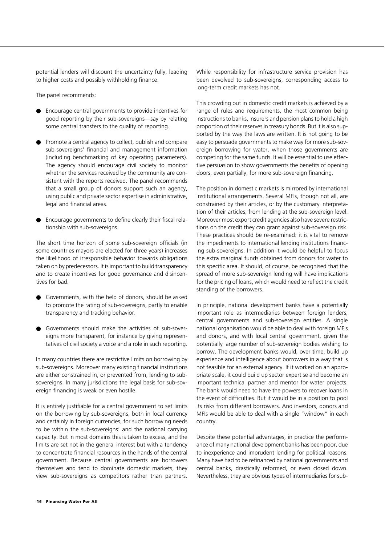potential lenders will discount the uncertainty fully, leading to higher costs and possibly withholding finance.

The panel recommends:

- Encourage central governments to provide incentives for good reporting by their sub-sovereigns—say by relating some central transfers to the quality of reporting.
- Promote a central agency to collect, publish and compare sub-sovereigns' financial and management information (including benchmarking of key operating parameters). The agency should encourage civil society to monitor whether the services received by the community are consistent with the reports received. The panel recommends that a small group of donors support such an agency, using public and private sector expertise in administrative, legal and financial areas.
- Encourage governments to define clearly their fiscal relationship with sub-sovereigns.

The short time horizon of some sub-sovereign officials (in some countries mayors are elected for three years) increases the likelihood of irresponsible behavior towards obligations taken on by predecessors. It is important to build transparency and to create incentives for good governance and disincentives for bad.

- Governments, with the help of donors, should be asked to promote the rating of sub-sovereigns, partly to enable transparency and tracking behavior.
- Governments should make the activities of sub-sovereigns more transparent, for instance by giving representatives of civil society a voice and a role in such reporting.

In many countries there are restrictive limits on borrowing by sub-sovereigns. Moreover many existing financial institutions are either constrained in, or prevented from, lending to subsovereigns. In many jurisdictions the legal basis for sub-sovereign financing is weak or even hostile.

It is entirely justifiable for a central government to set limits on the borrowing by sub-sovereigns, both in local currency and certainly in foreign currencies, for such borrowing needs to be within the sub-sovereigns' and the national carrying capacity. But in most domains this is taken to excess, and the limits are set not in the general interest but with a tendency to concentrate financial resources in the hands of the central government. Because central governments are borrowers themselves and tend to dominate domestic markets, they view sub-sovereigns as competitors rather than partners.

While responsibility for infrastructure service provision has been devolved to sub-sovereigns, corresponding access to long-term credit markets has not.

This crowding out in domestic credit markets is achieved by a range of rules and requirements, the most common being instructions to banks, insurers and pension plans to hold a high proportion of their reserves in treasury bonds. But it is also supported by the way the laws are written. It is not going to be easy to persuade governments to make way for more sub-sovereign borrowing for water, when those governments are competing for the same funds. It will be essential to use effective persuasion to show governments the benefits of opening doors, even partially, for more sub-sovereign financing.

The position in domestic markets is mirrored by international institutional arrangements. Several MFIs, though not all, are constrained by their articles, or by the customary interpretation of their articles, from lending at the sub-sovereign level. Moreover most export credit agencies also have severe restrictions on the credit they can grant against sub-sovereign risk. These practices should be re-examined: it is vital to remove the impediments to international lending institutions financing sub-sovereigns. In addition it would be helpful to focus the extra marginal funds obtained from donors for water to this specific area. It should, of course, be recognised that the spread of more sub-sovereign lending will have implications for the pricing of loans, which would need to reflect the credit standing of the borrowers.

In principle, national development banks have a potentially important role as intermediaries between foreign lenders, central governments and sub-sovereign entities. A single national organisation would be able to deal with foreign MFIs and donors, and with local central government, given the potentially large number of sub-sovereign bodies wishing to borrow. The development banks would, over time, build up experience and intelligence about borrowers in a way that is not feasible for an external agency. If it worked on an appropriate scale, it could build up sector expertise and become an important technical partner and mentor for water projects. The bank would need to have the powers to recover loans in the event of difficulties. But it would be in a position to pool its risks from different borrowers. And investors, donors and MFIs would be able to deal with a single "window" in each country.

Despite these potential advantages, in practice the performance of many national development banks has been poor, due to inexperience and imprudent lending for political reasons. Many have had to be refinanced by national governments and central banks, drastically reformed, or even closed down. Nevertheless, they are obvious types of intermediaries for sub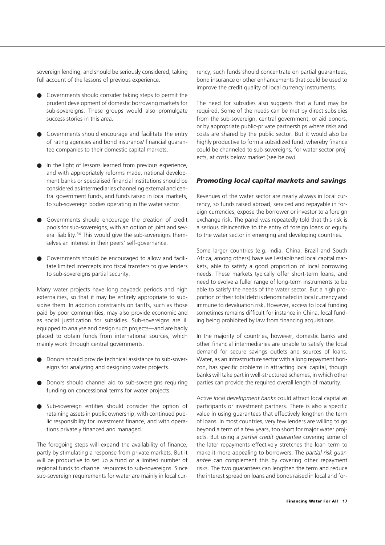sovereign lending, and should be seriously considered, taking full account of the lessons of previous experience.

- Governments should consider taking steps to permit the prudent development of domestic borrowing markets for sub-sovereigns. These groups would also promulgate success stories in this area.
- Governments should encourage and facilitate the entry of rating agencies and bond insurance/ financial guarantee companies to their domestic capital markets.
- In the light of lessons learned from previous experience, and with appropriately reforms made, national development banks or specialised financial institutions should be considered as intermediaries channeling external and central government funds, and funds raised in local markets, to sub-sovereign bodies operating in the water sector.
- Governments should encourage the creation of credit pools for sub-sovereigns, with an option of joint and several liability.34 This would give the sub-sovereigns themselves an interest in their peers' self-governance.
- Governments should be encouraged to allow and facilitate limited intercepts into fiscal transfers to give lenders to sub-sovereigns partial security.

Many water projects have long payback periods and high externalities, so that it may be entirely appropriate to subsidise them. In addition constraints on tariffs, such as those paid by poor communities, may also provide economic and as social justification for subsidies. Sub-sovereigns are ill equipped to analyse and design such projects—and are badly placed to obtain funds from international sources, which mainly work through central governments.

- Donors should provide technical assistance to sub-sovereigns for analyzing and designing water projects.
- Donors should channel aid to sub-sovereigns requiring funding on concessional terms for water projects.
- Sub-sovereign entities should consider the option of retaining assets in public ownership, with continued public responsibility for investment finance, and with operations privately financed and managed.

The foregoing steps will expand the availability of finance, partly by stimulating a response from private markets. But it will be productive to set up a fund or a limited number of regional funds to channel resources to sub-sovereigns. Since sub-sovereign requirements for water are mainly in local currency, such funds should concentrate on partial guarantees, bond insurance or other enhancements that could be used to improve the credit quality of local currency instruments.

The need for subsidies also suggests that a fund may be required. Some of the needs can be met by direct subsidies from the sub-sovereign, central government, or aid donors, or by appropriate public-private partnerships where risks and costs are shared by the public sector. But it would also be highly productive to form a subsidized fund, whereby finance could be channeled to sub-sovereigns, for water sector projects, at costs below market (see below).

#### *Promoting local capital markets and savings*

Revenues of the water sector are nearly always in local currency, so funds raised abroad, serviced and repayable in foreign currencies, expose the borrower or investor to a foreign exchange risk. The panel was repeatedly told that this risk is a serious disincentive to the entry of foreign loans or equity to the water sector in emerging and developing countries.

Some larger countries (e.g. India, China, Brazil and South Africa, among others) have well established local capital markets, able to satisfy a good proportion of local borrowing needs. These markets typically offer short-term loans, and need to evolve a fuller range of long-term instruments to be able to satisfy the needs of the water sector. But a high proportion of their total debt is denominated in local currency and immune to devaluation risk. However, access to local funding sometimes remains difficult for instance in China, local funding being prohibited by law from financing acquisitions.

In the majority of countries, however, domestic banks and other financial intermediaries are unable to satisfy the local demand for secure savings outlets and sources of loans. Water, as an infrastructure sector with a long repayment horizon, has specific problems in attracting local capital, though banks will take part in well-structured schemes, in which other parties can provide the required overall length of maturity.

Active *local development banks* could attract local capital as participants or investment partners. There is also a specific value in using guarantees that effectively lengthen the term of loans. In most countries, very few lenders are willing to go beyond a term of a few years, too short for major water projects. But using a *partial credit guarantee* covering some of the later repayments effectively stretches the loan term to make it more appealing to borrowers. The *partial risk guarantee* can complement this by covering other repayment risks. The two guarantees can lengthen the term and reduce the interest spread on loans and bonds raised in local and for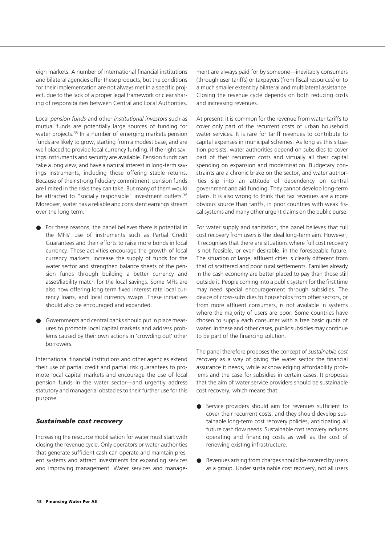eign markets. A number of international financial institutions and bilateral agencies offer these products, but the conditions for their implementation are not always met in a specific project, due to the lack of a proper legal framework or clear sharing of responsibilities between Central and Local Authorities.

Local *pension funds* and other *institutional investors* such as mutual funds are potentially large sources of funding for water projects.<sup>35</sup> In a number of emerging markets pension funds are likely to grow, starting from a modest base, and are well placed to provide local currency funding, if the right savings instruments and security are available. Pension funds can take a long view, and have a natural interest in long-term savings instruments, including those offering stable returns. Because of their strong fiduciary commitment, pension funds are limited in the risks they can take. But many of them would be attracted to "socially responsible" investment outlets.<sup>36</sup> Moreover, water has a reliable and consistent earnings stream over the long term.

- For these reasons, the panel believes there is potential in the MFIs' use of instruments such as Partial Credit Guarantees and their efforts to raise more bonds in local currency. These activities encourage the growth of local currency markets, increase the supply of funds for the water sector and strengthen balance sheets of the pension funds through building a better currency and asset/liability match for the local savings. Some MFIs are also now offering long term fixed interest rate local currency loans, and local currency swaps. These initiatives should also be encouraged and expanded.
- Governments and central banks should put in place measures to promote local capital markets and address problems caused by their own actions in 'crowding out' other borrowers.

International financial institutions and other agencies extend their use of partial credit and partial risk guarantees to promote local capital markets and encourage the use of local pension funds in the water sector—and urgently address statutory and managerial obstacles to their further use for this purpose.

#### *Sustainable cost recovery*

Increasing the resource mobilisation for water must start with closing the revenue cycle. Only operators or water authorities that generate sufficient cash can operate and maintain present systems and attract investments for expanding services and improving management. Water services and management are always paid for by someone—inevitably consumers (through user tariffs) or taxpayers (from fiscal resources) or to a much smaller extent by bilateral and multilateral assistance. Closing the revenue cycle depends on both reducing costs and increasing revenues.

At present, it is common for the revenue from water tariffs to cover only part of the recurrent costs of urban household water services. It is rare for tariff revenues to contribute to capital expenses in municipal schemes. As long as this situation persists, water authorities depend on subsidies to cover part of their recurrent costs and virtually all their capital spending on expansion and modernisation. Budgetary constraints are a chronic brake on the sector, and water authorities slip into an attitude of dependency on central government and aid funding. They cannot develop long-term plans. It is also wrong to think that tax revenues are a more obvious source than tariffs, in poor countries with weak fiscal systems and many other urgent claims on the public purse.

For water supply and sanitation, the panel believes that full cost recovery from users is the ideal long-term aim. However, it recognises that there are situations where full cost recovery is not feasible, or even desirable, in the foreseeable future. The situation of large, affluent cities is clearly different from that of scattered and poor rural settlements. Families already in the cash economy are better placed to pay than those still outside it. People coming into a public system for the first time may need special encouragement through subsidies. The device of cross-subsidies to households from other sectors, or from more affluent consumers, is not available in systems where the majority of users are poor. Some countries have chosen to supply each consumer with a free basic quota of water. In these and other cases, public subsidies may continue to be part of the financing solution.

The panel therefore proposes the concept of *sustainable cost recovery* as a way of giving the water sector the financial assurance it needs, while acknowledging affordability problems and the case for subsidies in certain cases. It proposes that the aim of water service providers should be sustainable cost recovery, which means that:

- Service providers should aim for revenues sufficient to cover their recurrent costs, and they should develop sustainable long-term cost recovery policies, anticipating all future cash flow needs. Sustainable cost recovery includes operating and financing costs as well as the cost of renewing existing infrastructure.
- Revenues arising from charges should be covered by users as a group. Under sustainable cost recovery, not all users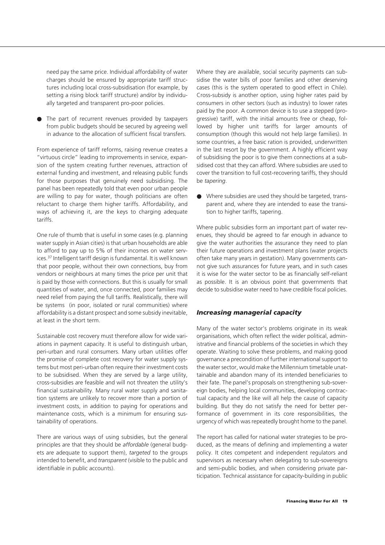need pay the same price. Individual affordability of water charges should be ensured by appropriate tariff structures including local cross-subsidisation (for example, by setting a rising block tariff structure) and/or by individually targeted and transparent pro-poor policies.

The part of recurrent revenues provided by taxpayers from public budgets should be secured by agreeing well in advance to the allocation of sufficient fiscal transfers.

From experience of tariff reforms, raising revenue creates a "virtuous circle" leading to improvements in service, expansion of the system creating further revenues, attraction of external funding and investment, and releasing public funds for those purposes that genuinely need subsidising. The panel has been repeatedly told that even poor urban people are willing to pay for water, though politicians are often reluctant to charge them higher tariffs. Affordability, and ways of achieving it, are the keys to charging adequate tariffs.

One rule of thumb that is useful in some cases (e.g. planning water supply in Asian cities) is that urban households are able to afford to pay up to 5% of their incomes on water services.37 Intelligent tariff design is fundamental. It is well known that poor people, without their own connections, buy from vendors or neighbours at many times the price per unit that is paid by those with connections. But this is usually for small quantities of water, and, once connected, poor families may need relief from paying the full tariffs. Realistically, there will be systems (in poor, isolated or rural communities) where affordability is a distant prospect and some subsidy inevitable, at least in the short term.

Sustainable cost recovery must therefore allow for wide variations in payment capacity. It is useful to distinguish urban, peri-urban and rural consumers. Many urban utilities offer the promise of complete cost recovery for water supply systems but most peri-urban often require their investment costs to be subsidised. When they are served by a large utility, cross-subsidies are feasible and will not threaten the utility's financial sustainability. Many rural water supply and sanitation systems are unlikely to recover more than a portion of investment costs, in addition to paying for operations and maintenance costs, which is a minimum for ensuring sustainability of operations.

There are various ways of using subsidies, but the general principles are that they should be *affordable* (general budgets are adequate to support them), *targeted* to the groups intended to benefit, and *transparent* (visible to the public and identifiable in public accounts).

Where they are available, social security payments can subsidise the water bills of poor families and other deserving cases (this is the system operated to good effect in Chile). Cross-subsidy is another option, using higher rates paid by consumers in other sectors (such as industry) to lower rates paid by the poor. A common device is to use a stepped (progressive) tariff, with the initial amounts free or cheap, followed by higher unit tariffs for larger amounts of consumption (though this would not help large families). In some countries, a free basic ration is provided, underwritten in the last resort by the government. A highly efficient way of subsidising the poor is to give them connections at a subsidised cost that they can afford. Where subsidies are used to cover the transition to full cost-recovering tariffs, they should be *tapering*.

● Where subsidies are used they should be targeted, transparent and, where they are intended to ease the transition to higher tariffs, tapering.

Where public subsidies form an important part of water revenues, they should be agreed to far enough in advance to give the water authorities the assurance they need to plan their future operations and investment plans (water projects often take many years in gestation). Many governments cannot give such assurances for future years, and in such cases it is wise for the water sector to be as financially self-reliant as possible. It is an obvious point that governments that decide to subsidise water need to have credible fiscal policies.

#### *Increasing managerial capacity*

Many of the water sector's problems originate in its weak organisations, which often reflect the wider political, administrative and financial problems of the societies in which they operate. Waiting to solve these problems, and making good governance a precondition of further international support to the water sector, would make the Millennium timetable unattainable and abandon many of its intended beneficiaries to their fate. The panel's proposals on strengthening sub-sovereign bodies, helping local communities, developing contractual capacity and the like will all help the cause of capacity building. But they do not satisfy the need for better performance of government in its core responsibilities, the urgency of which was repeatedly brought home to the panel.

The report has called for national water strategies to be produced, as the means of defining and implementing a water policy. It cites competent and independent regulators and supervisors as necessary when delegating to sub-sovereigns and semi-public bodies, and when considering private participation. Technical assistance for capacity-building in public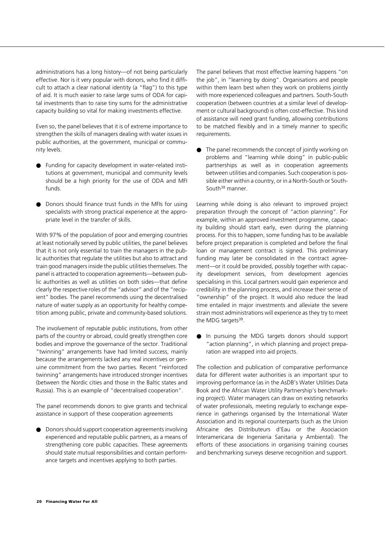administrations has a long history—of not being particularly effective. Nor is it very popular with donors, who find it difficult to attach a clear national identity (a "flag") to this type of aid. It is much easier to raise large sums of ODA for capital investments than to raise tiny sums for the administrative capacity building so vital for making investments effective.

Even so, the panel believes that it is of extreme importance to strengthen the skills of managers dealing with water issues in public authorities, at the government, municipal or community levels.

- Funding for capacity development in water-related institutions at government, municipal and community levels should be a high priority for the use of ODA and MFI funds.
- Donors should finance trust funds in the MFIs for using specialists with strong practical experience at the appropriate level in the transfer of skills.

With 97% of the population of poor and emerging countries at least notionally served by public utilities, the panel believes that it is not only essential to train the managers in the public authorities that regulate the utilities but also to attract and train good managers inside the public utilities themselves. The panel is attracted to cooperation agreements—between public authorities as well as utilities on both sides—that define clearly the respective roles of the "advisor" and of the "recipient" bodies. The panel recommends using the decentralised nature of water supply as an opportunity for healthy competition among public, private and community-based solutions.

The involvement of reputable public institutions, from other parts of the country or abroad, could greatly strengthen core bodies and improve the governance of the sector. Traditional "twinning" arrangements have had limited success, mainly because the arrangements lacked any real incentives or genuine commitment from the two parties. Recent "reinforced twinning" arrangements have introduced stronger incentives (between the Nordic cities and those in the Baltic states and Russia). This is an example of "decentralised cooperation".

The panel recommends donors to give grants and technical assistance in support of these cooperation agreements

Donors should support cooperation agreements involving experienced and reputable public partners, as a means of strengthening core public capacities. These agreements should state mutual responsibilities and contain performance targets and incentives applying to both parties.

The panel believes that most effective learning happens "on the job", in "learning by doing". Organisations and people within them learn best when they work on problems jointly with more experienced colleagues and partners. South-South cooperation (between countries at a similar level of development or cultural background) is often cost-effective. This kind of assistance will need grant funding, allowing contributions to be matched flexibly and in a timely manner to specific requirements.

● The panel recommends the concept of jointly working on problems and "learning while doing" in public-public partnerships as well as in cooperation agreements between utilities and companies. Such cooperation is possible either within a country, or in a North-South or South-South<sup>38</sup> manner.

Learning while doing is also relevant to improved project preparation through the concept of "action planning". For example, within an approved investment programme, capacity building should start early, even during the planning process. For this to happen, some funding has to be available before project preparation is completed and before the final loan or management contract is signed. This preliminary funding may later be consolidated in the contract agreement—or it could be provided, possibly together with capacity development services, from development agencies specialising in this. Local partners would gain experience and credibility in the planning process, and increase their sense of "ownership" of the project. It would also reduce the lead time entailed in major investments and alleviate the severe strain most administrations will experience as they try to meet the MDG targets<sup>39</sup>.

In pursuing the MDG targets donors should support "action planning", in which planning and project preparation are wrapped into aid projects.

The collection and publication of comparative performance data for different water authorities is an important spur to improving performance (as in the AsDB's Water Utilities Data Book and the African Water Utility Partnership's benchmarking project). Water managers can draw on existing networks of water professionals, meeting regularly to exchange experience in gatherings organised by the International Water Association and its regional counterparts (such as the Union Africaine des Distributeurs d'Eau or the Asociacion Interamericana de Ingenieria Sanitaria y Ambiental). The efforts of these associations in organising training courses and benchmarking surveys deserve recognition and support.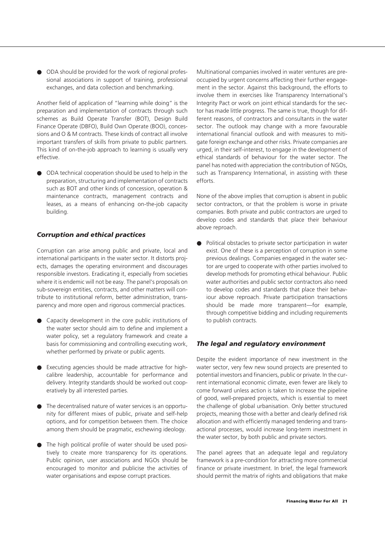● ODA should be provided for the work of regional professional associations in support of training, professional exchanges, and data collection and benchmarking.

Another field of application of "learning while doing" is the preparation and implementation of contracts through such schemes as Build Operate Transfer (BOT), Design Build Finance Operate (DBFO), Build Own Operate (BOO), concessions and O & M contracts. These kinds of contract all involve important transfers of skills from private to public partners. This kind of on-the-job approach to learning is usually very effective.

● ODA technical cooperation should be used to help in the preparation, structuring and implementation of contracts such as BOT and other kinds of concession, operation & maintenance contracts, management contracts and leases, as a means of enhancing on-the-job capacity building.

#### *Corruption and ethical practices*

Corruption can arise among public and private, local and international participants in the water sector. It distorts projects, damages the operating environment and discourages responsible investors. Eradicating it, especially from societies where it is endemic will not be easy. The panel's proposals on sub-sovereign entities, contracts, and other matters will contribute to institutional reform, better administration, transparency and more open and rigorous commercial practices.

- Capacity development in the core public institutions of the water sector should aim to define and implement a water policy, set a regulatory framework and create a basis for commissioning and controlling executing work, whether performed by private or public agents.
- Executing agencies should be made attractive for highcalibre leadership, accountable for performance and delivery. Integrity standards should be worked out cooperatively by all interested parties.
- The decentralised nature of water services is an opportunity for different mixes of public, private and self-help options, and for competition between them. The choice among them should be pragmatic, eschewing ideology.
- The high political profile of water should be used positively to create more transparency for its operations. Public opinion, user associations and NGOs should be encouraged to monitor and publicise the activities of water organisations and expose corrupt practices.

Multinational companies involved in water ventures are preoccupied by urgent concerns affecting their further engagement in the sector. Against this background, the efforts to involve them in exercises like Transparency International's Integrity Pact or work on joint ethical standards for the sector has made little progress. The same is true, though for different reasons, of contractors and consultants in the water sector. The outlook may change with a more favourable international financial outlook and with measures to mitigate foreign exchange and other risks. Private companies are urged, in their self-interest, to engage in the development of ethical standards of behaviour for the water sector. The panel has noted with appreciation the contribution of NGOs, such as Transparency International, in assisting with these efforts.

None of the above implies that corruption is absent in public sector contractors, or that the problem is worse in private companies. Both private and public contractors are urged to develop codes and standards that place their behaviour above reproach.

● Political obstacles to private sector participation in water exist. One of these is a perception of corruption in some previous dealings. Companies engaged in the water sector are urged to cooperate with other parties involved to develop methods for promoting ethical behaviour. Public water authorities and public sector contractors also need to develop codes and standards that place their behaviour above reproach. Private participation transactions should be made more transparent—for example, through competitive bidding and including requirements to publish contracts.

#### *The legal and regulatory environment*

Despite the evident importance of new investment in the water sector, very few new sound projects are presented to potential investors and financiers, public or private. In the current international economic climate, even fewer are likely to come forward unless action is taken to increase the pipeline of good, well-prepared projects, which is essential to meet the challenge of global urbanisation. Only better structured projects, meaning those with a better and clearly defined risk allocation and with efficiently managed tendering and transactional processes, would increase long-term investment in the water sector, by both public and private sectors.

The panel agrees that an adequate legal and regulatory framework is a pre-condition for attracting more commercial finance or private investment. In brief, the legal framework should permit the matrix of rights and obligations that make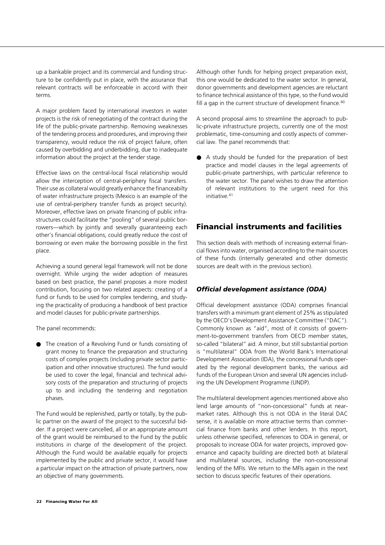up a bankable project and its commercial and funding structure to be confidently put in place, with the assurance that relevant contracts will be enforceable in accord with their terms.

A major problem faced by international investors in water projects is the risk of renegotiating of the contract during the life of the public-private partnership. Removing weaknesses of the tendering process and procedures, and improving their transparency, would reduce the risk of project failure, often caused by overbidding and underbidding, due to inadequate information about the project at the tender stage.

Effective laws on the central-local fiscal relationship would allow the interception of central-periphery fiscal transfers. Their use as collateral would greatly enhance the financeabilty of water infrastructure projects (Mexico is an example of the use of central-periphery transfer funds as project security). Moreover, effective laws on private financing of public infrastructures could facilitate the "pooling" of several public borrowers—which by jointly and severally guaranteeing each other's financial obligations, could greatly reduce the cost of borrowing or even make the borrowing possible in the first place.

Achieving a sound general legal framework will not be done overnight. While urging the wider adoption of measures based on best practice, the panel proposes a more modest contribution, focusing on two related aspects: creating of a fund or funds to be used for complex tendering, and studying the practicality of producing a handbook of best practice and model clauses for public-private partnerships.

The panel recommends:

● The creation of a Revolving Fund or funds consisting of grant money to finance the preparation and structuring costs of complex projects (including private sector participation and other innovative structures). The fund would be used to cover the legal, financial and technical advisory costs of the preparation and structuring of projects up to and including the tendering and negotiation phases.

The Fund would be replenished, partly or totally, by the public partner on the award of the project to the successful bidder. If a project were cancelled, all or an appropriate amount of the grant would be reimbursed to the Fund by the public institutions in charge of the development of the project. Although the Fund would be available equally for projects implemented by the public and private sector, it would have a particular impact on the attraction of private partners, now an objective of many governments.

Although other funds for helping project preparation exist, this one would be dedicated to the water sector. In general, donor governments and development agencies are reluctant to finance technical assistance of this type, so the Fund would fill a gap in the current structure of development finance.<sup>40</sup>

A second proposal aims to streamline the approach to public-private infrastructure projects, currently one of the most problematic, time-consuming and costly aspects of commercial law. The panel recommends that:

A study should be funded for the preparation of best practice and model clauses in the legal agreements of public-private partnerships, with particular reference to the water sector. The panel wishes to draw the attention of relevant institutions to the urgent need for this initiative.41

#### **Financial instruments and facilities**

This section deals with methods of increasing external financial flows into water, organised according to the main sources of these funds (internally generated and other domestic sources are dealt with in the previous section).

#### *Official development assistance (ODA)*

Official development assistance (ODA) comprises financial transfers with a minimum grant element of 25% as stipulated by the OECD's Development Assistance Committee ("DAC"). Commonly known as "aid", most of it consists of government-to-government transfers from OECD member states, so-called "bilateral" aid. A minor, but still substantial portion is "multilateral" ODA from the World Bank's International Development Association (IDA), the concessional funds operated by the regional development banks, the various aid funds of the European Union and several UN agencies including the UN Development Programme (UNDP).

The multilateral development agencies mentioned above also lend large amounts of "non-concessional" funds at nearmarket rates. Although this is not ODA in the literal DAC sense, it is available on more attractive terms than commercial finance from banks and other lenders. In this report, unless otherwise specified, references to ODA in general, or proposals to increase ODA for water projects, improved governance and capacity building are directed both at bilateral and multilateral sources, including the non-concessional lending of the MFIs. We return to the MFIs again in the next section to discuss specific features of their operations.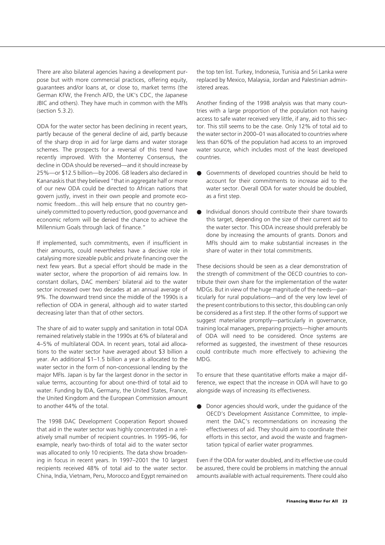There are also bilateral agencies having a development purpose but with more commercial practices, offering equity, guarantees and/or loans at, or close to, market terms (the German KFW, the French AFD, the UK's CDC, the Japanese JBIC and others). They have much in common with the MFIs (section 5.3.2).

ODA for the water sector has been declining in recent years, partly because of the general decline of aid, partly because of the sharp drop in aid for large dams and water storage schemes. The prospects for a reversal of this trend have recently improved. With the Monterrey Consensus, the decline in ODA should be reversed—and it should increase by 25%—or \$12.5 billion—by 2006. G8 leaders also declared in Kananaskis that they believed "that in aggregate half or more of our new ODA could be directed to African nations that govern justly, invest in their own people and promote economic freedom...this will help ensure that no country genuinely committed to poverty reduction, good governance and economic reform will be denied the chance to achieve the Millennium Goals through lack of finance."

If implemented, such commitments, even if insufficient in their amounts, could nevertheless have a decisive role in catalysing more sizeable public and private financing over the next few years. But a special effort should be made in the water sector, where the proportion of aid remains low. In constant dollars, DAC members' bilateral aid to the water sector increased over two decades at an annual average of 9%. The downward trend since the middle of the 1990s is a reflection of ODA in general, although aid to water started decreasing later than that of other sectors.

The share of aid to water supply and sanitation in total ODA remained relatively stable in the 1990s at 6% of bilateral and 4–5% of multilateral ODA. In recent years, total aid allocations to the water sector have averaged about \$3 billion a year. An additional \$1–1.5 billion a year is allocated to the water sector in the form of non-concessional lending by the major MFIs. Japan is by far the largest donor in the sector in value terms, accounting for about one-third of total aid to water. Funding by IDA, Germany, the United States, France, the United Kingdom and the European Commission amount to another 44% of the total.

The 1998 DAC Development Cooperation Report showed that aid in the water sector was highly concentrated in a relatively small number of recipient countries. In 1995–96, for example, nearly two-thirds of total aid to the water sector was allocated to only 10 recipients. The data show broadening in focus in recent years. In 1997–2001 the 10 largest recipients received 48% of total aid to the water sector. China, India, Vietnam, Peru, Morocco and Egypt remained on the top ten list. Turkey, Indonesia, Tunisia and Sri Lanka were replaced by Mexico, Malaysia, Jordan and Palestinian administered areas.

Another finding of the 1998 analysis was that many countries with a large proportion of the population not having access to safe water received very little, if any, aid to this sector. This still seems to be the case. Only 12% of total aid to the water sector in 2000–01 was allocated to countries where less than 60% of the population had access to an improved water source, which includes most of the least developed countries.

- Governments of developed countries should be held to account for their commitments to increase aid to the water sector. Overall ODA for water should be doubled, as a first step.
- Individual donors should contribute their share towards this target, depending on the size of their current aid to the water sector. This ODA increase should preferably be done by increasing the amounts of grants. Donors and MFIs should aim to make substantial increases in the share of water in their total commitments.

These decisions should be seen as a clear demonstration of the strength of commitment of the OECD countries to contribute their own share for the implementation of the water MDGs. But in view of the huge magnitude of the needs—particularly for rural populations—and of the very low level of the present contributions to this sector, this doubling can only be considered as a first step. If the other forms of support we suggest materialise promptly—particularly in governance, training local managers, preparing projects—higher amounts of ODA will need to be considered. Once systems are reformed as suggested, the investment of these resources could contribute much more effectively to achieving the MDG.

To ensure that these quantitative efforts make a major difference, we expect that the increase in ODA will have to go alongside ways of increasing its effectiveness.

● Donor agencies should work, under the guidance of the OECD's Development Assistance Committee, to implement the DAC's recommendations on increasing the effectiveness of aid. They should aim to coordinate their efforts in this sector, and avoid the waste and fragmentation typical of earlier water programmes.

Even if the ODA for water doubled, and its effective use could be assured, there could be problems in matching the annual amounts available with actual requirements. There could also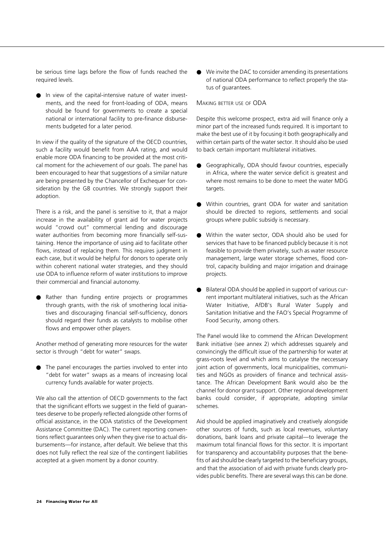be serious time lags before the flow of funds reached the required levels.

● In view of the capital-intensive nature of water investments, and the need for front-loading of ODA, means should be found for governments to create a special national or international facility to pre-finance disbursements budgeted for a later period.

In view if the quality of the signature of the OECD countries, such a facility would benefit from AAA rating, and would enable more ODA financing to be provided at the most critical moment for the achievement of our goals. The panel has been encouraged to hear that suggestions of a similar nature are being presented by the Chancellor of Exchequer for consideration by the G8 countries. We strongly support their adoption.

There is a risk, and the panel is sensitive to it, that a major increase in the availability of grant aid for water projects would "crowd out" commercial lending and discourage water authorities from becoming more financially self-sustaining. Hence the importance of using aid to facilitate other flows, instead of replacing them. This requires judgment in each case, but it would be helpful for donors to operate only within coherent national water strategies, and they should use ODA to influence reform of water institutions to improve their commercial and financial autonomy.

Rather than funding entire projects or programmes through grants, with the risk of smothering local initiatives and discouraging financial self-sufficiency, donors should regard their funds as catalysts to mobilise other flows and empower other players.

Another method of generating more resources for the water sector is through "debt for water" swaps.

● The panel encourages the parties involved to enter into "debt for water" swaps as a means of increasing local currency funds available for water projects.

We also call the attention of OECD governments to the fact that the significant efforts we suggest in the field of guarantees deserve to be properly reflected alongside other forms of official assistance, in the ODA statistics of the Development Assistance Committee (DAC). The current reporting conventions reflect guarantees only when they give rise to actual disbursements—for instance, after default. We believe that this does not fully reflect the real size of the contingent liabilities accepted at a given moment by a donor country.

● We invite the DAC to consider amending its presentations of national ODA performance to reflect properly the status of guarantees.

#### MAKING BETTER USE OF ODA

Despite this welcome prospect, extra aid will finance only a minor part of the increased funds required. It is important to make the best use of it by focusing it both geographically and within certain parts of the water sector. It should also be used to back certain important multilateral initiatives.

- Geographically, ODA should favour countries, especially in Africa, where the water service deficit is greatest and where most remains to be done to meet the water MDG targets.
- Within countries, grant ODA for water and sanitation should be directed to regions, settlements and social groups where public subsidy is necessary.
- Within the water sector, ODA should also be used for services that have to be financed publicly because it is not feasible to provide them privately, such as water resource management, large water storage schemes, flood control, capacity building and major irrigation and drainage projects.
- Bilateral ODA should be applied in support of various current important multilateral initiatives, such as the African Water Initiative, AfDB's Rural Water Supply and Sanitation Initiative and the FAO's Special Programme of Food Security, among others.

The Panel would like to commend the African Development Bank initiative (see annex 2) which addresses squarely and convincingly the difficult issue of the partnership for water at grass-roots level and which aims to catalyse the neccessary joint action of governments, local municipalities, communities and NGOs as providers of finance and technical assistance. The African Development Bank would also be the channel for donor grant support. Other regional development banks could consider, if appropriate, adopting similar schemes.

Aid should be applied imaginatively and creatively alongside other sources of funds, such as local revenues, voluntary donations, bank loans and private capital—to leverage the maximum total financial flows for this sector. It is important for transparency and accountability purposes that the benefits of aid should be clearly targeted to the beneficiary groups, and that the association of aid with private funds clearly provides public benefits. There are several ways this can be done.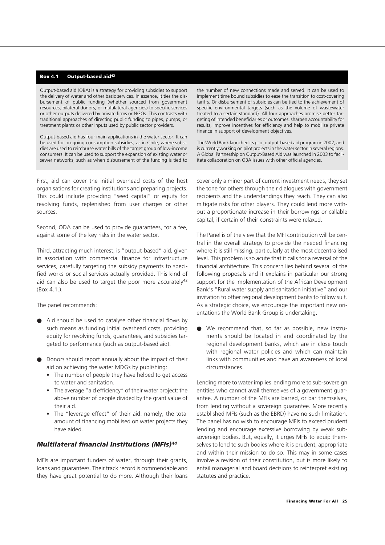#### **Box 4.1 Output-based aid43**

Output-based aid (OBA) is a strategy for providing subsidies to support the delivery of water and other basic services. In essence, it ties the disbursement of public funding (whether sourced from government resources, bilateral donors, or multilateral agencies) to specific services or other outputs delivered by private firms or NGOs. This contrasts with traditional approaches of directing public funding to pipes, pumps, or treatment plants or other inputs used by public sector providers.

Output-based aid has four main applications in the water sector. It can be used for on-going consumption subsidies, as in Chile, where subsidies are used to reimburse water bills of the target group of low-income consumers. It can be used to support the expansion of existing water or sewer networks, such as when disbursement of the funding is tied to

First, aid can cover the initial overhead costs of the host organisations for creating institutions and preparing projects. This could include providing "seed capital" or equity for revolving funds, replenished from user charges or other sources.

Second, ODA can be used to provide guarantees, for a fee, against some of the key risks in the water sector.

Third, attracting much interest, is "output-based" aid, given in association with commercial finance for infrastructure services, carefully targeting the subsidy payments to specified works or social services actually provided. This kind of aid can also be used to target the poor more accurately<sup>42</sup> (Box 4.1.).

The panel recommends:

- Aid should be used to catalyse other financial flows by such means as funding initial overhead costs, providing equity for revolving funds, guarantees, and subsidies targeted to performance (such as output-based aid).
- Donors should report annually about the impact of their aid on achieving the water MDGs by publishing:
	- The number of people they have helped to get access to water and sanitation.
	- The average "aid efficiency" of their water project: the above number of people divided by the grant value of their aid.
	- The "leverage effect" of their aid: namely, the total amount of financing mobilised on water projects they have aided.

#### *Multilateral financial Institutions (MFIs)44*

MFIs are important funders of water, through their grants, loans and guarantees. Their track record is commendable and they have great potential to do more. Although their loans

the number of new connections made and served. It can be used to implement time bound subsidies to ease the transition to cost-covering tariffs. Or disbursement of subsidies can be tied to the achievement of specific environmental targets (such as the volume of wastewater treated to a certain standard). All four approaches promise better targeting of intended beneficiaries or outcomes, sharpen accountability for results, improve incentives for efficiency and help to mobilise private finance in support of development objectives.

The World Bank launched its pilot output-based aid program in 2002, and is currently working on pilot projects in the water sector in several regions. A Global Partnership on Output-Based Aid was launched in 2003 to facilitate collaboration on OBA issues with other official agencies.

cover only a minor part of current investment needs, they set the tone for others through their dialogues with government recipients and the understandings they reach. They can also mitigate risks for other players. They could lend more without a proportionate increase in their borrowings or callable capital, if certain of their constraints were relaxed.

The Panel is of the view that the MFI contribution will be central in the overall strategy to provide the needed financing where it is still missing, particularly at the most decentralised level. This problem is so acute that it calls for a reversal of the financial architecture. This concern lies behind several of the following proposals and it explains in particular our strong support for the implementation of the African Development Bank's "Rural water supply and sanitation initiative" and our invitation to other regional development banks to follow suit. As a strategic choice, we encourage the important new orientations the World Bank Group is undertaking.

● We recommend that, so far as possible, new instruments should be located in and coordinated by the regional development banks, which are in close touch with regional water policies and which can maintain links with communities and have an awareness of local circumstances.

Lending more to water implies lending more to sub-sovereign entities who cannot avail themselves of a government guarantee. A number of the MFIs are barred, or bar themselves, from lending without a sovereign guarantee. More recently established MFIs (such as the EBRD) have no such limitation. The panel has no wish to encourage MFIs to exceed prudent lending and encourage excessive borrowing by weak subsovereign bodies. But, equally, it urges MFIs to equip themselves to lend to such bodies where it is prudent, appropriate and within their mission to do so. This may in some cases involve a revision of their constitution, but is more likely to entail managerial and board decisions to reinterpret existing statutes and practice.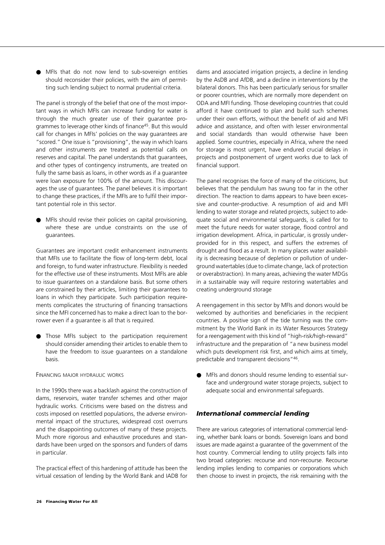● MFIs that do not now lend to sub-sovereign entities should reconsider their policies, with the aim of permitting such lending subject to normal prudential criteria.

The panel is strongly of the belief that one of the most important ways in which MFIs can increase funding for water is through the much greater use of their guarantee programmes to leverage other kinds of finance<sup>45</sup>. But this would call for changes in MFIs' policies on the way guarantees are "scored." One issue is "provisioning", the way in which loans and other instruments are treated as potential calls on reserves and capital. The panel understands that guarantees, and other types of contingency instruments, are treated on fully the same basis as loans, in other words as if a guarantee were loan exposure for 100% of the amount. This discourages the use of guarantees. The panel believes it is important to change these practices, if the MFIs are to fulfil their important potential role in this sector.

MFIs should revise their policies on capital provisioning, where these are undue constraints on the use of guarantees.

Guarantees are important credit enhancement instruments that MFIs use to facilitate the flow of long-term debt, local and foreign, to fund water infrastructure. Flexibility is needed for the effective use of these instruments. Most MFIs are able to issue guarantees on a standalone basis. But some others are constrained by their articles, limiting their guarantees to loans in which they participate. Such participation requirements complicates the structuring of financing transactions since the MFI concerned has to make a direct loan to the borrower even if a guarantee is all that is required.

Those MFIs subject to the participation requirement should consider amending their articles to enable them to have the freedom to issue guarantees on a standalone basis.

#### FINANCING MAJOR HYDRAULIC WORKS

In the 1990s there was a backlash against the construction of dams, reservoirs, water transfer schemes and other major hydraulic works. Criticisms were based on the distress and costs imposed on resettled populations, the adverse environmental impact of the structures, widespread cost overruns and the disappointing outcomes of many of these projects. Much more rigorous and exhaustive procedures and standards have been urged on the sponsors and funders of dams in particular.

The practical effect of this hardening of attitude has been the virtual cessation of lending by the World Bank and IADB for

dams and associated irrigation projects, a decline in lending by the AsDB and AfDB, and a decline in interventions by the bilateral donors. This has been particularly serious for smaller or poorer countries, which are normally more dependent on ODA and MFI funding. Those developing countries that could afford it have continued to plan and build such schemes under their own efforts, without the benefit of aid and MFI advice and assistance, and often with lesser environmental and social standards than would otherwise have been applied. Some countries, especially in Africa, where the need for storage is most urgent, have endured crucial delays in projects and postponement of urgent works due to lack of financial support.

The panel recognises the force of many of the criticisms, but believes that the pendulum has swung too far in the other direction. The reaction to dams appears to have been excessive and counter-productive. A resumption of aid and MFI lending to water storage and related projects, subject to adequate social and environmental safeguards, is called for to meet the future needs for water storage, flood control and irrigation development. Africa, in particular, is grossly underprovided for in this respect, and suffers the extremes of drought and flood as a result. In many places water availability is decreasing because of depletion or pollution of underground watertables (due to climate change, lack of protection or overabstraction). In many areas, achieving the water MDGs in a sustainable way will require restoring watertables and creating underground storage

A reengagement in this sector by MFIs and donors would be welcomed by authorities and beneficiaries in the recipient countries. A positive sign of the tide turning was the commitment by the World Bank in its Water Resources Strategy for a reengagement with this kind of "high-risk/high-reward" infrastructure and the preparation of "a new business model which puts development risk first, and which aims at timely, predictable and transparent decisions"46.

● MFIs and donors should resume lending to essential surface and underground water storage projects, subject to adequate social and environmental safeguards.

#### *International commercial lending*

There are various categories of international commercial lending, whether bank loans or bonds. Sovereign loans and bond issues are made against a guarantee of the government of the host country. Commercial lending to utility projects falls into two broad categories: recourse and non-recourse. Recourse lending implies lending to companies or corporations which then choose to invest in projects, the risk remaining with the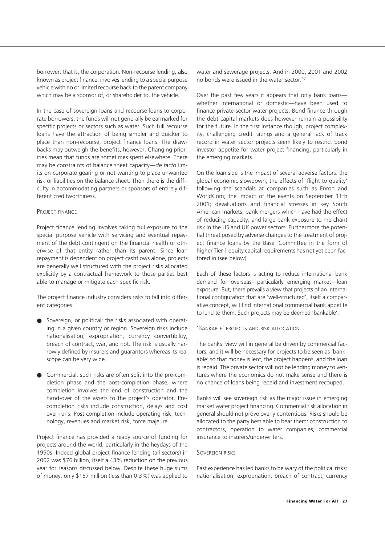borrower: that is, the corporation. Non-recourse lending, also known as project finance, involves lending to a special purpose vehicle with no or limited recourse back to the parent company which may be a sponsor of, or shareholder to, the vehicle.

In the case of sovereign loans and recourse loans to corporate borrowers, the funds will not generally be earmarked for specific projects or sectors such as water. Such full recourse loans have the attraction of being simpler and quicker to place than non-recourse, project finance loans. The drawbacks may outweigh the benefits, however. Changing priorities mean that funds are sometimes spent elsewhere. There may be constraints of balance sheet capacity—*de facto* limits on corporate gearing or not wanting to place unwanted risk or liabilities on the balance sheet. Then there is the difficulty in accommodating partners or sponsors of entirely different creditworthiness.

#### PROJECT FINANCE

Project finance lending involves taking full exposure to the special purpose vehicle with servicing and eventual repayment of the debt contingent on the financial health or otherwise of that entity rather than its parent. Since loan repayment is dependent on project cashflows alone, projects are generally well structured with the project risks allocated explicitly by a contractual framework to those parties best able to manage or mitigate each specific risk.

The project finance industry considers risks to fall into different categories:

- Sovereign, or political: the risks associated with operating in a given country or region. Sovereign risks include nationalisation, expropriation, currency convertibility, breach of contract, war, and riot. The risk is usually narrowly defined by insurers and guarantors whereas its real scope can be very wide.
- Commercial: such risks are often split into the pre-completion phase and the post-completion phase, where completion involves the end of construction and the hand-over of the assets to the project's operator. Precompletion risks include construction, delays and cost over-runs. Post-completion include operating risk, technology, revenues and market risk, force majeure.

Project finance has provided a ready source of funding for projects around the world, particularly in the heydays of the 1990s. Indeed global project finance lending (all sectors) in 2002 was \$76 billion, itself a 43% reduction on the previous year for reasons discussed below. Despite these huge sums of money, only \$157 million (less than 0.3%) was applied to

water and sewerage projects. And in 2000, 2001 and 2002 no bonds were issued in the water sector.<sup>47</sup>

Over the past few years it appears that only bank loans whether international or domestic—have been used to finance private-sector water projects. Bond finance through the debt capital markets does however remain a possibility for the future. In the first instance though, project complexity, challenging credit ratings and a general lack of track record in water sector projects seem likely to restrict bond investor appetite for water project financing, particularly in the emerging markets.

On the loan side is the impact of several adverse factors: the global economic slowdown; the effects of 'flight to quality' following the scandals at companies such as Enron and WorldCom; the impact of the events on September 11th 2001; devaluations and financial stresses in key South American markets; bank mergers which have had the effect of reducing capacity; and large bank exposure to merchant risk in the US and UK power sectors. Furthermore the potential threat posed by adverse changes to the treatment of project finance loans by the Basel Committee in the form of higher Tier 1 equity capital requirements has not yet been factored in (see below).

Each of these factors is acting to reduce international bank demand for overseas—particularly emerging market—loan exposure. But, there prevails a view that projects of an international configuration that are 'well-structured', itself a comparative concept, will find international commercial bank appetite to lend to them. Such projects may be deemed 'bankable'.

#### 'BANKABLE' PROJECTS AND RISK ALLOCATION

The banks' view will in general be driven by commercial factors, and it will be necessary for projects to be seen as 'bankable' so that money is lent, the project happens, and the loan is repaid. The private sector will not be lending money to ventures where the economics do not make sense and there is no chance of loans being repaid and investment recouped.

Banks will see sovereign risk as the major issue in emerging market water project financing. Commercial risk allocation in general should not prove overly contentious. Risks should be allocated to the party best able to bear them: construction to contractors, operation to water companies, commercial insurance to insurers/underwriters.

#### SOVEREIGN RISKS

Past experience has led banks to be wary of the political risks: nationalisation; expropriation; breach of contract; currency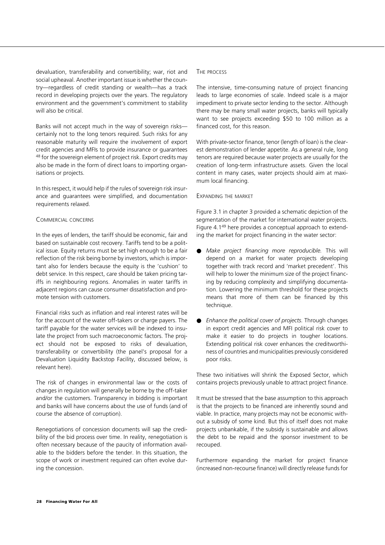devaluation, transferability and convertibility; war, riot and social upheaval. Another important issue is whether the country—regardless of credit standing or wealth—has a track record in developing projects over the years. The regulatory environment and the government's commitment to stability will also be critical.

Banks will not accept much in the way of sovereign risks certainly not to the long tenors required. Such risks for any reasonable maturity will require the involvement of export credit agencies and MFIs to provide insurance or guarantees <sup>48</sup> for the sovereign element of project risk. Export credits may also be made in the form of direct loans to importing organisations or projects.

In this respect, it would help if the rules of sovereign risk insurance and guarantees were simplified, and documentation requirements relaxed.

#### COMMERCIAL CONCERNS

In the eyes of lenders, the tariff should be economic, fair and based on sustainable cost recovery. Tariffs tend to be a political issue. Equity returns must be set high enough to be a fair reflection of the risk being borne by investors, which is important also for lenders because the equity is the 'cushion' to debt service. In this respect, care should be taken pricing tariffs in neighbouring regions. Anomalies in water tariffs in adjacent regions can cause consumer dissatisfaction and promote tension with customers.

Financial risks such as inflation and real interest rates will be for the account of the water off-takers or charge payers. The tariff payable for the water services will be indexed to insulate the project from such macroeconomic factors. The project should not be exposed to risks of devaluation, transferability or convertibility (the panel's proposal for a Devaluation Liquidity Backstop Facility, discussed below, is relevant here).

The risk of changes in environmental law or the costs of changes in regulation will generally be borne by the off-taker and/or the customers. Transparency in bidding is important and banks will have concerns about the use of funds (and of course the absence of corruption).

Renegotiations of concession documents will sap the credibility of the bid process over time. In reality, renegotiation is often necessary because of the paucity of information available to the bidders before the tender. In this situation, the scope of work or investment required can often evolve during the concession.

#### THE PROCESS

The intensive, time-consuming nature of project financing leads to large economies of scale. Indeed scale is a major impediment to private sector lending to the sector. Although there may be many small water projects, banks will typically want to see projects exceeding \$50 to 100 million as a financed cost, for this reason.

With private-sector finance, tenor (length of loan) is the clearest demonstration of lender appetite. As a general rule, long tenors are required because water projects are usually for the creation of long-term infrastructure assets. Given the local content in many cases, water projects should aim at maximum local financing.

#### EXPANDING THE MARKET

Figure 3.1 in chapter 3 provided a schematic depiction of the segmentation of the market for international water projects. Figure 4.149 here provides a conceptual approach to extending the market for project financing in the water sector:

- *Make project financing more reproducible.* This will depend on a market for water projects developing together with track record and 'market precedent'. This will help to lower the minimum size of the project financing by reducing complexity and simplifying documentation. Lowering the minimum threshold for these projects means that more of them can be financed by this technique.
- Enhance the political cover of projects. Through changes in export credit agencies and MFI political risk cover to make it easier to do projects in tougher locations. Extending political risk cover enhances the creditworthiness of countries and municipalities previously considered poor risks.

These two initiatives will shrink the Exposed Sector, which contains projects previously unable to attract project finance.

It must be stressed that the base assumption to this approach is that the projects to be financed are inherently sound and viable. In practice, many projects may not be economic without a subsidy of some kind. But this of itself does not make projects unbankable, if the subsidy is sustainable and allows the debt to be repaid and the sponsor investment to be recouped.

Furthermore expanding the market for project finance (increased non-recourse finance) will directly release funds for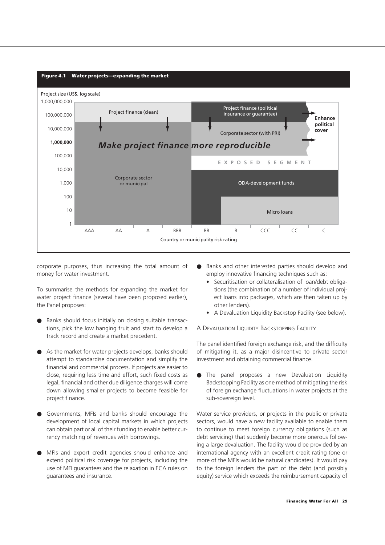

corporate purposes, thus increasing the total amount of money for water investment.

To summarise the methods for expanding the market for water project finance (several have been proposed earlier), the Panel proposes:

- Banks should focus initially on closing suitable transactions, pick the low hanging fruit and start to develop a track record and create a market precedent.
- As the market for water projects develops, banks should attempt to standardise documentation and simplify the financial and commercial process. If projects are easier to close, requiring less time and effort, such fixed costs as legal, financial and other due diligence charges will come down allowing smaller projects to become feasible for project finance.
- Governments, MFIs and banks should encourage the development of local capital markets in which projects can obtain part or all of their funding to enable better currency matching of revenues with borrowings.
- MFIs and export credit agencies should enhance and extend political risk coverage for projects, including the use of MFI guarantees and the relaxation in ECA rules on guarantees and insurance.
- Banks and other interested parties should develop and employ innovative financing techniques such as:
	- Securitisation or collateralisation of loan/debt obligations (the combination of a number of individual project loans into packages, which are then taken up by other lenders).
	- A Devaluation Liquidity Backstop Facility (see below).

A DEVALUATION LIQUIDITY BACKSTOPPING FACILITY

The panel identified foreign exchange risk, and the difficulty of mitigating it, as a major disincentive to private sector investment and obtaining commercial finance.

● The panel proposes a new Devaluation Liquidity Backstopping Facility as one method of mitigating the risk of foreign exchange fluctuations in water projects at the sub-sovereign level.

Water service providers, or projects in the public or private sectors, would have a new facility available to enable them to continue to meet foreign currency obligations (such as debt servicing) that suddenly become more onerous following a large devaluation. The facility would be provided by an international agency with an excellent credit rating (one or more of the MFIs would be natural candidates). It would pay to the foreign lenders the part of the debt (and possibly equity) service which exceeds the reimbursement capacity of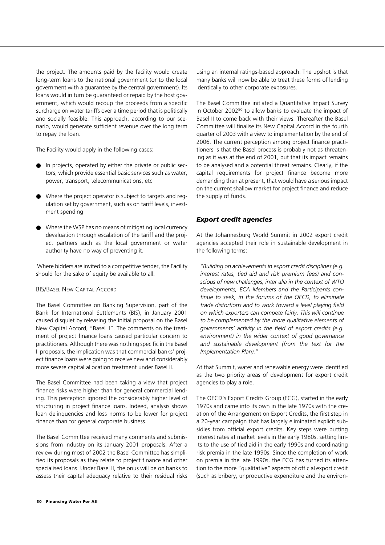the project. The amounts paid by the facility would create long-term loans to the national government (or to the local government with a guarantee by the central government). Its loans would in turn be guaranteed or repaid by the host government, which would recoup the proceeds from a specific surcharge on water tariffs over a time period that is politically and socially feasible. This approach, according to our scenario, would generate sufficient revenue over the long term to repay the loan.

The Facility would apply in the following cases:

- In projects, operated by either the private or public sectors, which provide essential basic services such as water, power, transport, telecommunications, etc
- Where the project operator is subject to targets and regulation set by government, such as on tariff levels, investment spending
- Where the WSP has no means of mitigating local currency devaluation through escalation of the tariff and the project partners such as the local government or water authority have no way of preventing it.

Where bidders are invited to a competitive tender, the Facility should for the sake of equity be available to all.

#### BIS/BASEL NEW CAPITAL ACCORD

The Basel Committee on Banking Supervision, part of the Bank for International Settlements (BIS), in January 2001 caused disquiet by releasing the initial proposal on the Basel New Capital Accord, "Basel II". The comments on the treatment of project finance loans caused particular concern to practitioners. Although there was nothing specific in the Basel II proposals, the implication was that commercial banks' project finance loans were going to receive new and considerably more severe capital allocation treatment under Basel II.

The Basel Committee had been taking a view that project finance risks were higher than for general commercial lending. This perception ignored the considerably higher level of structuring in project finance loans. Indeed, analysis shows loan delinquencies and loss norms to be lower for project finance than for general corporate business.

The Basel Committee received many comments and submissions from industry on its January 2001 proposals. After a review during most of 2002 the Basel Committee has simplified its proposals as they relate to project finance and other specialised loans. Under Basel II, the onus will be on banks to assess their capital adequacy relative to their residual risks The Basel Committee initiated a Quantitative Impact Survey in October 200250 to allow banks to evaluate the impact of Basel II to come back with their views. Thereafter the Basel Committee will finalise its New Capital Accord in the fourth quarter of 2003 with a view to implementation by the end of 2006. The current perception among project finance practitioners is that the Basel process is probably not as threatening as it was at the end of 2001, but that its impact remains to be analysed and a potential threat remains. Clearly, if the capital requirements for project finance become more demanding than at present, that would have a serious impact on the current shallow market for project finance and reduce the supply of funds.

#### *Export credit agencies*

At the Johannesburg World Summit in 2002 export credit agencies accepted their role in sustainable development in the following terms:

*"Building on achievements in export credit disciplines (e.g. interest rates, tied aid and risk premium fees) and conscious of new challenges, inter alia in the context of WTO developments, ECA Members and the Participants continue to seek, in the forums of the OECD, to eliminate trade distortions and to work toward a level playing field on which exporters can compete fairly. This will continue to be complemented by the more qualitative elements of governments' activity in the field of export credits (e.g. environment) in the wider context of good governance and sustainable development (from the text for the Implementation Plan)."*

At that Summit, water and renewable energy were identified as the two priority areas of development for export credit agencies to play a role.

The OECD's Export Credits Group (ECG), started in the early 1970s and came into its own in the late 1970s with the creation of the Arrangement on Export Credits, the first step in a 20-year campaign that has largely eliminated explicit subsidies from official export credits. Key steps were putting interest rates at market levels in the early 1980s, setting limits to the use of tied aid in the early 1990s and coordinating risk premia in the late 1990s. Since the completion of work on premia in the late 1990s, the ECG has turned its attention to the more "qualitative" aspects of official export credit (such as bribery, unproductive expenditure and the environ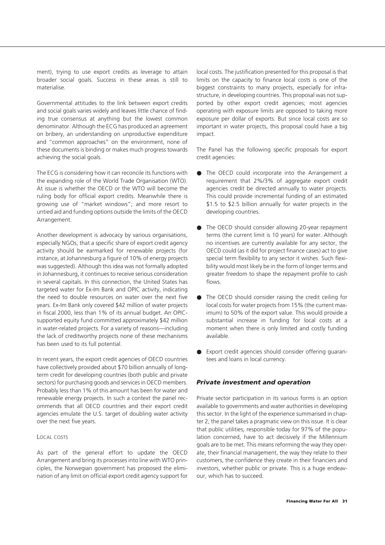ment), trying to use export credits as leverage to attain broader social goals. Success in these areas is still to materialise.

Governmental attitudes to the link between export credits and social goals varies widely and leaves little chance of finding true consensus at anything but the lowest common denominator. Although the ECG has produced an agreement on bribery, an understanding on unproductive expenditure and "common approaches" on the environment, none of these documents is binding or makes much progress towards achieving the social goals.

The ECG is considering how it can reconcile its functions with the expanding role of the World Trade Organisation (WTO). At issue is whether the OECD or the WTO will become the ruling body for official export credits. Meanwhile there is growing use of "market windows"; and more resort to untied aid and funding options outside the limits of the OECD Arrangement.

Another development is advocacy by various organisations, especially NGOs, that a specific share of export credit agency activity should be earmarked for renewable projects (for instance, at Johannesburg a figure of 10% of energy projects was suggested). Although this idea was not formally adopted in Johannesburg, it continues to receive serious consideration in several capitals. In this connection, the United States has targeted water for Ex-Im Bank and OPIC activity, indicating the need to double resources on water over the next five years. Ex-Im Bank only covered \$42 million of water projects in fiscal 2000, less than 1% of its annual budget. An OPICsupported equity fund committed approximately \$42 million in water-related projects. For a variety of reasons—including the lack of creditworthy projects none of these mechanisms has been used to its full potential.

In recent years, the export credit agencies of OECD countries have collectively provided about \$70 billion annually of longterm credit for developing countries (both public and private sectors) for purchasing goods and services in OECD members. Probably less than 1% of this amount has been for water and renewable energy projects. In such a context the panel recommends that all OECD countries and their export credit agencies emulate the U.S. target of doubling water activity over the next five years.

#### LOCAL COSTS

As part of the general effort to update the OECD Arrangement and bring its processes into line with WTO principles, the Norwegian government has proposed the elimination of any limit on official export credit agency support for local costs. The justification presented for this proposal is that limits on the capacity to finance local costs is one of the biggest constraints to many projects, especially for infrastructure, in developing countries. This proposal was not supported by other export credit agencies; most agencies operating with exposure limits are opposed to taking more exposure per dollar of exports. But since local costs are so important in water projects, this proposal could have a big impact.

The Panel has the following specific proposals for export credit agencies:

- The OECD could incorporate into the Arrangement a requirement that 2%/3% of aggregate export credit agencies credit be directed annually to water projects. This could provide incremental funding of an estimated \$1.5 to \$2.5 billion annually for water projects in the developing countries.
- The OECD should consider allowing 20-year repayment terms (the current limit is 10 years) for water. Although no incentives are currently available for any sector, the OECD could (as it did for project finance cases) act to give special term flexibility to any sector it wishes. Such flexibility would most likely be in the form of longer terms and greater freedom to shape the repayment profile to cash flows.
- The OECD should consider raising the credit ceiling for local costs for water projects from 15% (the current maximum) to 50% of the export value. This would provide a substantial increase in funding for local costs at a moment when there is only limited and costly funding available.
- Export credit agencies should consider offering guarantees and loans in local currency.

#### *Private investment and operation*

Private sector participation in its various forms is an option available to governments and water authorities in developing this sector. In the light of the experience summarised in chapter 2, the panel takes a pragmatic view on this issue. It is clear that public utilities, responsible today for 97% of the population concerned, have to act decisively if the Millennium goals are to be met. This means reforming the way they operate, their financial management, the way they relate to their customers, the confidence they create in their financiers and investors, whether public or private. This is a huge endeavour, which has to succeed.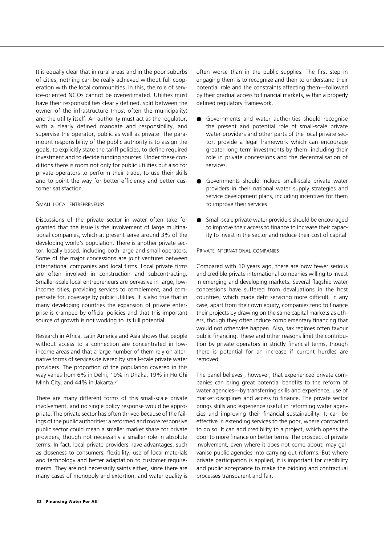It is equally clear that in rural areas and in the poor suburbs of cities, nothing can be really achieved without full cooperation with the local communities. In this, the role of service-oriented NGOs cannot be overestimated. Utilities must have their responsibilities clearly defined, split between the owner of the infrastructure (most often the municipality) and the utility itself. An authority must act as the regulator, with a clearly defined mandate and responsibility, and supervise the operator, public as well as private. The paramount responsibility of the public authority is to assign the goals, to explicitly state the tariff policies, to define required investment and to decide funding sources. Under these conditions there is room not only for public utilities but also for private operators to perform their trade, to use their skills and to point the way for better efficiency and better customer satisfaction.

#### SMALL LOCAL ENTREPRENEURS

Discussions of the private sector in water often take for granted that the issue is the involvement of large multinational companies, which at present serve around 3% of the developing world's population. There is another private sector, locally based, including both large and small operators. Some of the major concessions are joint ventures between international companies and local firms. Local private firms are often involved in construction and subcontracting. Smaller-scale local entrepreneurs are pervasive in large, lowincome cities, providing services to complement, and compensate for, coverage by public utilities. It is also true that in many developing countries the expansion of private enterprise is cramped by official policies and that this important source of growth is not working to its full potential.

Research in Africa, Latin America and Asia shows that people without access to a connection are concentrated in lowincome areas and that a large number of them rely on alternative forms of services delivered by small-scale private water providers. The proportion of the population covered in this way varies from 6% in Delhi, 10% in Dhaka, 19% in Ho Chi Minh City, and 44% in Jakarta.<sup>51</sup>

There are many different forms of this small-scale private involvement, and no single policy response would be appropriate. The private sector has often thrived because of the failings of the public authorities: a reformed and more responsive public sector could mean a smaller market share for private providers, though not necessarily a smaller role in absolute terms. In fact, local private providers have advantages, such as closeness to consumers, flexibility, use of local materials and technology and better adaptation to customer requirements. They are not necessarily saints either, since there are many cases of monopoly and extortion, and water quality is

- Governments and water authorities should recognise the present and potential role of small-scale private water providers and other parts of the local private sector, provide a legal framework which can encourage greater long-term investments by them, including their role in private concessions and the decentralisation of services.
- Governments should include small-scale private water providers in their national water supply strategies and service development plans, including incentives for them to improve their services.
- Small-scale private water providers should be encouraged to improve their access to finance to increase their capacity to invest in the sector and reduce their cost of capital.

#### PRIVATE INTERNATIONAL COMPANIES

Compared with 10 years ago, there are now fewer serious and credible private international companies willing to invest in emerging and developing markets. Several flagship water concessions have suffered from devaluations in the host countries, which made debt servicing more difficult. In any case, apart from their own equity, companies tend to finance their projects by drawing on the same capital markets as others, though they often induce complementary financing that would not otherwise happen. Also, tax regimes often favour public financing. These and other reasons limit the contribution by private operators in strictly financial terms, though there is potential for an increase if current hurdles are removed.

The panel believes , however, that experienced private companies can bring great potential benefits to the reform of water agencies—by transferring skills and experience, use of market disciplines and access to finance. The private sector brings skills and experience useful in reforming water agencies and improving their financial sustainability. It can be effective in extending services to the poor, where contracted to do so. It can add credibility to a project, which opens the door to more finance on better terms. The prospect of private involvement, even where it does not come about, may galvanise public agencies into carrying out reforms. But where private participation is applied, it is important for credibility and public acceptance to make the bidding and contractual processes transparent and fair.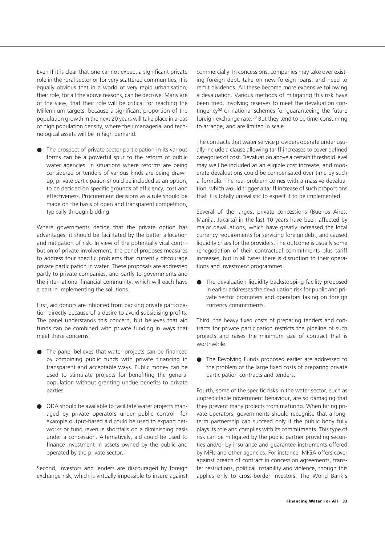Even if it is clear that one cannot expect a significant private role in the rural sector or for very scattered communities, it is equally obvious that in a world of very rapid urbanisation, their role, for all the above reasons, can be decisive. Many are of the view, that their role will be critical for reaching the Millennium targets, because a significant proportion of the population growth in the next 20 years will take place in areas of high population density, where their managerial and technological assets will be in high demand.

● The prospect of private sector participation in its various forms can be a powerful spur to the reform of public water agencies. In situations where reforms are being considered or tenders of various kinds are being drawn up, private participation should be included as an option, to be decided on specific grounds of efficiency, cost and effectiveness. Procurement decisions as a rule should be made on the basis of open and transparent competition, typically through bidding.

Where governments decide that the private option has advantages, it should be facilitated by the better allocation and mitigation of risk. In view of the potentially vital contribution of private involvement, the panel proposes measures to address four specific problems that currently discourage private participation in water. These proposals are addressed partly to private companies, and partly to governments and the international financial community, which will each have a part in implementing the solutions.

First, aid donors are inhibited from backing private participation directly because of a desire to avoid subsidising profits. The panel understands this concern, but believes that aid funds can be combined with private funding in ways that meet these concerns.

- The panel believes that water projects can be financed by combining public funds with private financing in transparent and acceptable ways. Public money can be used to stimulate projects for benefiting the general population without granting undue benefits to private parties.
- ODA should be available to facilitate water projects managed by private operators under public control—for example output-based aid could be used to expand networks or fund revenue shortfalls on a diminishing basis under a concession. Alternatively, aid could be used to finance investment in assets owned by the public and operated by the private sector.

Second, investors and lenders are discouraged by foreign exchange risk, which is virtually impossible to insure against commercially. In concessions, companies may take over existing foreign debt, take on new foreign loans, and need to remit dividends. All these become more expensive following a devaluation. Various methods of mitigating this risk have been tried, involving reserves to meet the devaluation contingency<sup>52</sup> or national schemes for guaranteeing the future foreign exchange rate.53 But they tend to be time-consuming to arrange, and are limited in scale.

The contracts that water service providers operate under usually include a clause allowing tariff increases to cover defined categories of cost. Devaluation above a certain threshold level may well be included as an eligible cost increase, and moderate devaluations could be compensated over time by such a formula. The real problem comes with a massive devaluation, which would trigger a tariff increase of such proportions that it is totally unrealistic to expect it to be implemented.

Several of the largest private concessions (Buenos Aires, Manila, Jakarta) in the last 10 years have been affected by major devaluations, which have greatly increased the local currency requirements for servicing foreign debt, and caused liquidity crises for the providers. The outcome is usually some renegotiation of their contractual commitments plus tariff increases, but in all cases there is disruption to their operations and investment programmes.

● The devaluation liquidity backstopping facility proposed in earlier addresses the devaluation risk for public and private sector promoters and operators taking on foreign currency commitments.

Third, the heavy fixed costs of preparing tenders and contracts for private participation restricts the pipeline of such projects and raises the minimum size of contract that is worthwhile.

● The Revolving Funds proposed earlier are addressed to the problem of the large fixed costs of preparing private participation contracts and tenders.

Fourth, some of the specific risks in the water sector, such as unpredictable government behaviour, are so damaging that they prevent many projects from maturing. When hiring private operators, governments should recognise that a longterm partnership can succeed only if the public body fully plays its role and complies with its commitments. This type of risk can be mitigated by the public partner providing securities and/or by insurance and guarantee instruments offered by MFIs and other agencies. For instance, MIGA offers cover against breach of contract in concession agreements, transfer restrictions, political instability and violence, though this applies only to cross-border investors. The World Bank's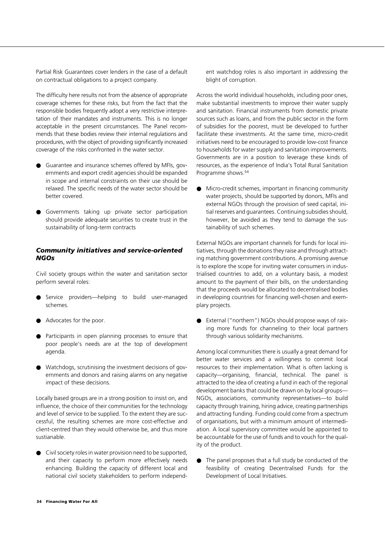Partial Risk Guarantees cover lenders in the case of a default on contractual obligations to a project company.

The difficulty here results not from the absence of appropriate coverage schemes for these risks, but from the fact that the responsible bodies frequently adopt a very restrictive interpretation of their mandates and instruments. This is no longer acceptable in the present circumstances. The Panel recommends that these bodies review their internal regulations and procedures, with the object of providing significantly increased coverage of the risks confronted in the water sector.

- Guarantee and insurance schemes offered by MFIs, governments and export credit agencies should be expanded in scope and internal constraints on their use should be relaxed. The specific needs of the water sector should be better covered.
- Governments taking up private sector participation should provide adequate securities to create trust in the sustainability of long-term contracts

#### *Community initiatives and service-oriented NGOs*

Civil society groups within the water and sanitation sector perform several roles:

- Service providers—helping to build user-managed schemes.
- Advocates for the poor.
- Participants in open planning processes to ensure that poor people's needs are at the top of development agenda.
- Watchdogs, scrutinising the investment decisions of governments and donors and raising alarms on any negative impact of these decisions.

Locally based groups are in a strong position to insist on, and influence, the choice of their communities for the technology and level of service to be supplied. To the extent they are successful, the resulting schemes are more cost-effective and client-centred than they would otherwise be, and thus more sustianable.

● Civil society roles in water provision need to be supported, and their capacity to perform more effectively needs enhancing. Building the capacity of different local and national civil society stakeholders to perform independ-

ent watchdog roles is also important in addressing the blight of corruption.

Across the world individual households, including poor ones, make substantial investments to improve their water supply and sanitation. Financial instruments from domestic private sources such as loans, and from the public sector in the form of subsidies for the poorest, must be developed to further facilitate these investments. At the same time, micro-credit initiatives need to be encouraged to provide low-cost finance to households for water supply and sanitation improvements. Governments are in a position to leverage these kinds of resources, as the experience of India's Total Rural Sanitation Programme shows.54

Micro-credit schemes, important in financing community water projects, should be supported by donors, MFIs and external NGOs through the provision of seed capital, initial reserves and guarantees. Continuing subsidies should, however, be avoided as they tend to damage the sustainability of such schemes.

External NGOs are important channels for funds for local initiatives, through the donations they raise and through attracting matching government contributions. A promising avenue is to explore the scope for inviting water consumers in industrialised countries to add, on a voluntary basis, a modest amount to the payment of their bills, on the understanding that the proceeds would be allocated to decentralised bodies in developing countries for financing well-chosen and exemplary projects.

External ("northern") NGOs should propose ways of raising more funds for channeling to their local partners through various solidarity mechanisms.

Among local communities there is usually a great demand for better water services and a willingness to commit local resources to their implementation. What is often lacking is capacity—organising, financial, technical. The panel is attracted to the idea of creating a fund in each of the regional development banks that could be drawn on by local groups— NGOs, associations, community representatives—to build capacity through training, hiring advice, creating partnerships and attracting funding. Funding could come from a spectrum of organisations, but with a minimum amount of intermediation. A local supervisory committee would be appointed to be accountable for the use of funds and to vouch for the quality of the product.

● The panel proposes that a full study be conducted of the feasibility of creating Decentralised Funds for the Development of Local Initiatives.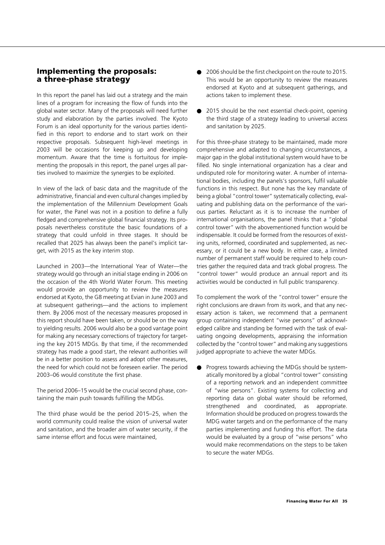#### **Implementing the proposals: a three-phase strategy**

In this report the panel has laid out a strategy and the main lines of a program for increasing the flow of funds into the global water sector. Many of the proposals will need further study and elaboration by the parties involved. The Kyoto Forum is an ideal opportunity for the various parties identified in this report to endorse and to start work on their respective proposals. Subsequent high-level meetings in 2003 will be occasions for keeping up and developing momentum. Aware that the time is fortuitous for implementing the proposals in this report, the panel urges all parties involved to maximize the synergies to be exploited.

In view of the lack of basic data and the magnitude of the administrative, financial and even cultural changes implied by the implementation of the Millennium Development Goals for water, the Panel was not in a position to define a fully fledged and comprehensive global financial strategy. Its proposals nevertheless constitute the basic foundations of a strategy that could unfold in three stages. It should be recalled that 2025 has always been the panel's implicit target, with 2015 as the key interim stop.

Launched in 2003—the International Year of Water—the strategy would go through an initial stage ending in 2006 on the occasion of the 4th World Water Forum. This meeting would provide an opportunity to review the measures endorsed at Kyoto, the G8 meeting at Evian in June 2003 and at subsequent gatherings—and the actions to implement them. By 2006 most of the necessary measures proposed in this report should have been taken, or should be on the way to yielding results. 2006 would also be a good vantage point for making any necessary corrections of trajectory for targeting the key 2015 MDGs. By that time, if the recommended strategy has made a good start, the relevant authorities will be in a better position to assess and adopt other measures, the need for which could not be foreseen earlier. The period 2003–06 would constitute the first phase.

The period 2006–15 would be the crucial second phase, containing the main push towards fulfilling the MDGs.

The third phase would be the period 2015–25, when the world community could realise the vision of universal water and sanitation, and the broader aim of water security, if the same intense effort and focus were maintained,

- 2006 should be the first checkpoint on the route to 2015. This would be an opportunity to review the measures endorsed at Kyoto and at subsequent gatherings, and actions taken to implement these.
- 2015 should be the next essential check-point, opening the third stage of a strategy leading to universal access and sanitation by 2025.

For this three-phase strategy to be maintained, made more comprehensive and adapted to changing circumstances, a major gap in the global institutional system would have to be filled. No single international organization has a clear and undisputed role for monitoring water. A number of international bodies, including the panels's sponsors, fulfil valuable functions in this respect. But none has the key mandate of being a global "control tower" systematically collecting, evaluating and publishing data on the performance of the various parties. Reluctant as it is to increase the number of international organisations, the panel thinks that a "global control tower" with the abovementioned function would be indispensable. It could be formed from the resources of existing units, reformed, coordinated and supplemented, as necessary, or it could be a new body. In either case, a limited number of permanent staff would be required to help countries gather the required data and track global progress. The "control tower" would produce an annual report and its activities would be conducted in full public transparency.

To complement the work of the "control tower" ensure the right conclusions are drawn from its work, and that any necessary action is taken, we recommend that a permanent group containing independent "wise persons" of acknowledged calibre and standing be formed with the task of evaluating ongoing developments, appraising the information collected by the "control tower" and making any suggestions judged appropriate to achieve the water MDGs.

● Progress towards achieving the MDGs should be systematically monitored by a global "control tower" consisting of a reporting network and an independent committee of "wise persons". Existing systems for collecting and reporting data on global water should be reformed, strengthened and coordinated, as appropriate. Information should be produced on progress towards the MDG water targets and on the performance of the many parties implementing and funding this effort. The data would be evaluated by a group of "wise persons" who would make recommendations on the steps to be taken to secure the water MDGs.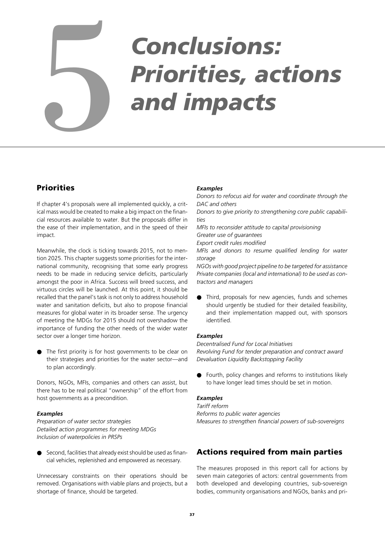# *Conclusions:* **Priorities, actions**<br> **1997 and impacts**

#### **Priorities**

If chapter 4's proposals were all implemented quickly, a critical mass would be created to make a big impact on the financial resources available to water. But the proposals differ in the ease of their implementation, and in the speed of their impact.

Meanwhile, the clock is ticking towards 2015, not to mention 2025. This chapter suggests some priorities for the international community, recognising that some early progress needs to be made in reducing service deficits, particularly amongst the poor in Africa. Success will breed success, and virtuous circles will be launched. At this point, it should be recalled that the panel's task is not only to address household water and sanitation deficits, but also to propose financial measures for global water in its broader sense. The urgency of meeting the MDGs for 2015 should not overshadow the importance of funding the other needs of the wider water sector over a longer time horizon.

● The first priority is for host governments to be clear on their strategies and priorities for the water sector—and to plan accordingly.

Donors, NGOs, MFIs, companies and others can assist, but there has to be real political "ownership" of the effort from host governments as a precondition.

#### *Examples*

*Preparation of water sector strategies Detailed action programmes for meeting MDGs Inclusion of waterpolicies in PRSPs*

Second, facilities that already exist should be used as financial vehicles, replenished and empowered as necessary.

Unnecessary constraints on their operations should be removed. Organisations with viable plans and projects, but a shortage of finance, should be targeted.

#### *Examples*

*Donors to refocus aid for water and coordinate through the DAC and others*

*Donors to give priority to strengthening core public capabilities*

*MFIs to reconsider attitude to capital provisioning Greater use of guarantees*

*Export credit rules modified*

*MFIs and donors to resume qualified lending for water storage*

*NGOs with good project pipeline to be targeted for assistance Private companies (local and international) to be used as contractors and managers*

Third, proposals for new agencies, funds and schemes should urgently be studied for their detailed feasibility, and their implementation mapped out, with sponsors identified.

#### *Examples*

*Decentralised Fund for Local Initiatives Revolving Fund for tender preparation and contract award Devaluation Liquidity Backstopping Facility*

● Fourth, policy changes and reforms to institutions likely to have longer lead times should be set in motion.

#### *Examples*

*Tariff reform Reforms to public water agencies Measures to strengthen financial powers of sub-sovereigns*

#### **Actions required from main parties**

The measures proposed in this report call for actions by seven main categories of actors: central governments from both developed and developing countries, sub-sovereign bodies, community organisations and NGOs, banks and pri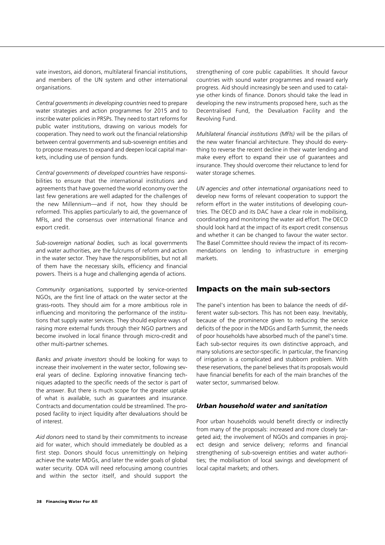vate investors, aid donors, multilateral financial institutions, and members of the UN system and other international organisations.

*Central governments in developing countries* need to prepare water strategies and action programmes for 2015 and to inscribe water policies in PRSPs. They need to start reforms for public water institutions, drawing on various models for cooperation. They need to work out the financial relationship between central governments and sub-sovereign entities and to propose measures to expand and deepen local capital markets, including use of pension funds.

*Central governments of developed countries* have responsibilities to ensure that the international institutions and agreements that have governed the world economy over the last few generations are well adapted for the challenges of the new Millennium—and if not, how they should be reformed. This applies particularly to aid, the governance of MFIs, and the consensus over international finance and export credit.

*Sub-sovereign national bodies,* such as local governments and water authorities, are the fulcrums of reform and action in the water sector. They have the responsibilities, but not all of them have the necessary skills, efficiency and financial powers. Theirs is a huge and challenging agenda of actions.

*Community organisations,* supported by service-oriented NGOs, are the first line of attack on the water sector at the grass-roots. They should aim for a more ambitious role in influencing and monitoring the performance of the institutions that supply water services. They should explore ways of raising more external funds through their NGO partners and become involved in local finance through micro-credit and other multi-partner schemes.

*Banks and private investors* should be looking for ways to increase their involvement in the water sector, following several years of decline. Exploring innovative financing techniques adapted to the specific needs of the sector is part of the answer. But there is much scope for the greater uptake of what is available, such as guarantees and insurance. Contracts and documentation could be streamlined. The proposed facility to inject liquidity after devaluations should be of interest.

*Aid donors* need to stand by their commitments to increase aid for water, which should immediately be doubled as a first step. Donors should focus unremittingly on helping achieve the water MDGs, and later the wider goals of global water security. ODA will need refocusing among countries and within the sector itself, and should support the strengthening of core public capabilities. It should favour countries with sound water programmes and reward early progress. Aid should increasingly be seen and used to catalyse other kinds of finance. Donors should take the lead in developing the new instruments proposed here, such as the Decentralised Fund, the Devaluation Facility and the Revolving Fund.

*Multilateral financial institutions (MFIs)* will be the pillars of the new water financial architecture. They should do everything to reverse the recent decline in their water lending and make every effort to expand their use of guarantees and insurance. They should overcome their reluctance to lend for water storage schemes.

*UN agencies and other international organisations* need to develop new forms of relevant cooperation to support the reform effort in the water institutions of developing countries. The OECD and its DAC have a clear role in mobilising, coordinating and monitoring the water aid effort. The OECD should look hard at the impact of its export credit consensus and whether it can be changed to favour the water sector. The Basel Committee should review the impact of its recommendations on lending to infrastructure in emerging markets.

#### **Impacts on the main sub-sectors**

The panel's intention has been to balance the needs of different water sub-sectors. This has not been easy. Inevitably, because of the prominence given to reducing the service deficits of the poor in the MDGs and Earth Summit, the needs of poor households have absorbed much of the panel's time. Each sub-sector requires its own distinctive approach, and many solutions are sector-specific. In particular, the financing of irrigation is a complicated and stubborn problem. With these reservations, the panel believes that its proposals would have financial benefits for each of the main branches of the water sector, summarised below.

#### *Urban household water and sanitation*

Poor urban households would benefit directly or indirectly from many of the proposals: increased and more closely targeted aid; the involvement of NGOs and companies in project design and service delivery; reforms and financial strengthening of sub-sovereign entities and water authorities; the mobilisation of local savings and development of local capital markets; and others.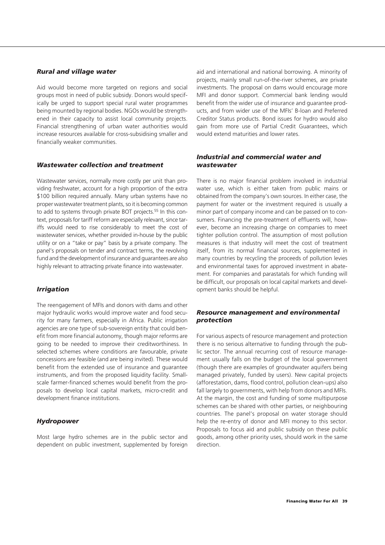#### *Rural and village water*

Aid would become more targeted on regions and social groups most in need of public subsidy. Donors would specifically be urged to support special rural water programmes being mounted by regional bodies. NGOs would be strengthened in their capacity to assist local community projects. Financial strengthening of urban water authorities would increase resources available for cross-subsidising smaller and financially weaker communities.

#### *Wastewater collection and treatment*

Wastewater services, normally more costly per unit than providing freshwater, account for a high proportion of the extra \$100 billion required annually. Many urban systems have no proper wastewater treatment plants, so it is becoming common to add to systems through private BOT projects.<sup>55</sup> In this context, proposals for tariff reform are especially relevant, since tariffs would need to rise considerably to meet the cost of wastewater services, whether provided in-house by the public utility or on a "take or pay" basis by a private company. The panel's proposals on tender and contract terms, the revolving fund and the development of insurance and guarantees are also highly relevant to attracting private finance into wastewater.

#### *Irrigation*

The reengagement of MFIs and donors with dams and other major hydraulic works would improve water and food security for many farmers, especially in Africa. Public irrigation agencies are one type of sub-sovereign entity that could benefit from more financial autonomy, though major reforms are going to be needed to improve their creditworthiness. In selected schemes where conditions are favourable, private concessions are feasible (and are being invited). These would benefit from the extended use of insurance and guarantee instruments, and from the proposed liquidity facility. Smallscale farmer-financed schemes would benefit from the proposals to develop local capital markets, micro-credit and development finance institutions.

#### *Hydropower*

Most large hydro schemes are in the public sector and dependent on public investment, supplemented by foreign aid and international and national borrowing. A minority of projects, mainly small run-of-the-river schemes, are private investments. The proposal on dams would encourage more MFI and donor support. Commercial bank lending would benefit from the wider use of insurance and guarantee products, and from wider use of the MFIs' B-loan and Preferred Creditor Status products. Bond issues for hydro would also gain from more use of Partial Credit Guarantees, which would extend maturities and lower rates.

#### *Industrial and commercial water and wastewater*

There is no major financial problem involved in industrial water use, which is either taken from public mains or obtained from the company's own sources. In either case, the payment for water or the investment required is usually a minor part of company income and can be passed on to consumers. Financing the pre-treatment of effluents will, however, become an increasing charge on companies to meet tighter pollution control. The assumption of most pollution measures is that industry will meet the cost of treatment itself, from its normal financial sources, supplemented in many countries by recycling the proceeds of pollution levies and environmental taxes for approved investment in abatement. For companies and parastatals for which funding will be difficult, our proposals on local capital markets and development banks should be helpful.

#### *Resource management and environmental protection*

For various aspects of resource management and protection there is no serious alternative to funding through the public sector. The annual recurring cost of resource management usually falls on the budget of the local government (though there are examples of groundwater aquifers being managed privately, funded by users). New capital projects (afforestation, dams, flood control, pollution clean-ups) also fall largely to governments, with help from donors and MFIs. At the margin, the cost and funding of some multipurpose schemes can be shared with other parties, or neighbouring countries. The panel's proposal on water storage should help the re-entry of donor and MFI money to this sector. Proposals to focus aid and public subsidy on these public goods, among other priority uses, should work in the same direction.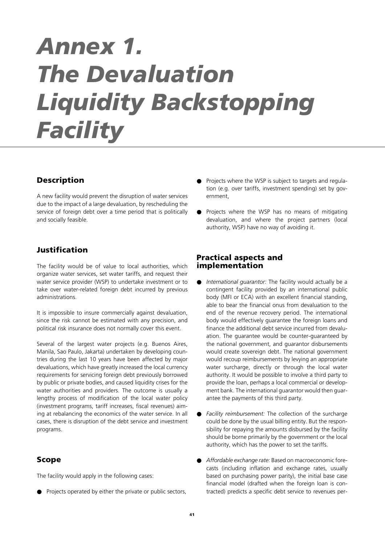# *Annex 1. The Devaluation Liquidity Backstopping Facility*

#### **Description**

A new facility would prevent the disruption of water services due to the impact of a large devaluation, by rescheduling the service of foreign debt over a time period that is politically and socially feasible.

#### **Justification**

The facility would be of value to local authorities, which organize water services, set water tariffs, and request their water service provider (WSP) to undertake investment or to take over water-related foreign debt incurred by previous administrations.

It is impossible to insure commercially against devaluation, since the risk cannot be estimated with any precision, and political risk insurance does not normally cover this event.

Several of the largest water projects (e.g. Buenos Aires, Manila, Sao Paulo, Jakarta) undertaken by developing countries during the last 10 years have been affected by major devaluations, which have greatly increased the local currency requirements for servicing foreign debt previously borrowed by public or private bodies, and caused liquidity crises for the water authorities and providers. The outcome is usually a lengthy process of modification of the local water policy (investment programs, tariff increases, fiscal revenues) aiming at rebalancing the economics of the water service. In all cases, there is disruption of the debt service and investment programs.

#### **Scope**

The facility would apply in the following cases:

● Projects operated by either the private or public sectors,

- Projects where the WSP is subject to targets and regulation (e.g. over tariffs, investment spending) set by government,
- Projects where the WSP has no means of mitigating devaluation, and where the project partners (local authority, WSP) have no way of avoiding it.

#### **Practical aspects and implementation**

- *International guarantor:* The facility would actually be a contingent facility provided by an international public body (MFI or ECA) with an excellent financial standing, able to bear the financial onus from devaluation to the end of the revenue recovery period. The international body would effectively guarantee the foreign loans and finance the additional debt service incurred from devaluation. The guarantee would be counter-guaranteed by the national government, and guarantor disbursements would create sovereign debt. The national government would recoup reimbursements by levying an appropriate water surcharge, directly or through the local water authority. It would be possible to involve a third party to provide the loan, perhaps a local commercial or development bank. The international guarantor would then guarantee the payments of this third party.
- *Facility reimbursement:* The collection of the surcharge could be done by the usual billing entity. But the responsibility for repaying the amounts disbursed by the facility should be borne primarily by the government or the local authority, which has the power to set the tariffs.
- Affordable exchange rate: Based on macroeconomic forecasts (including inflation and exchange rates, usually based on purchasing power parity), the initial base case financial model (drafted when the foreign loan is contracted) predicts a specific debt service to revenues per-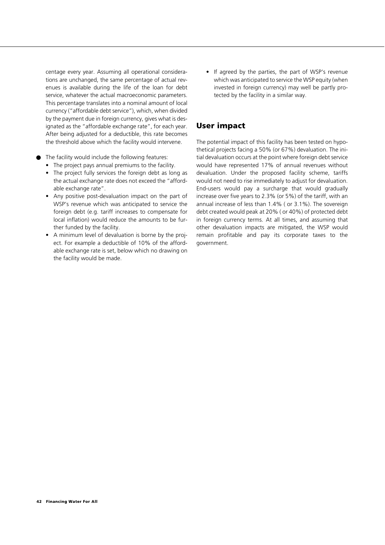centage every year. Assuming all operational considerations are unchanged, the same percentage of actual revenues is available during the life of the loan for debt service, whatever the actual macroeconomic parameters. This percentage translates into a nominal amount of local currency ("affordable debt service"), which, when divided by the payment due in foreign currency, gives what is designated as the "affordable exchange rate", for each year. After being adjusted for a deductible, this rate becomes the threshold above which the facility would intervene.

- The facility would include the following features:
	- The project pays annual premiums to the facility.
	- The project fully services the foreign debt as long as the actual exchange rate does not exceed the "affordable exchange rate".
	- Any positive post-devaluation impact on the part of WSP's revenue which was anticipated to service the foreign debt (e.g. tariff increases to compensate for local inflation) would reduce the amounts to be further funded by the facility.
	- A minimum level of devaluation is borne by the project. For example a deductible of 10% of the affordable exchange rate is set, below which no drawing on the facility would be made.

• If agreed by the parties, the part of WSP's revenue which was anticipated to service the WSP equity (when invested in foreign currency) may well be partly protected by the facility in a similar way.

#### **User impact**

The potential impact of this facility has been tested on hypothetical projects facing a 50% (or 67%) devaluation. The initial devaluation occurs at the point where foreign debt service would have represented 17% of annual revenues without devaluation. Under the proposed facility scheme, tariffs would not need to rise immediately to adjust for devaluation. End-users would pay a surcharge that would gradually increase over five years to 2.3% (or 5%) of the tariff, with an annual increase of less than 1.4% ( or 3.1%). The sovereign debt created would peak at 20% ( or 40%) of protected debt in foreign currency terms. At all times, and assuming that other devaluation impacts are mitigated, the WSP would remain profitable and pay its corporate taxes to the government.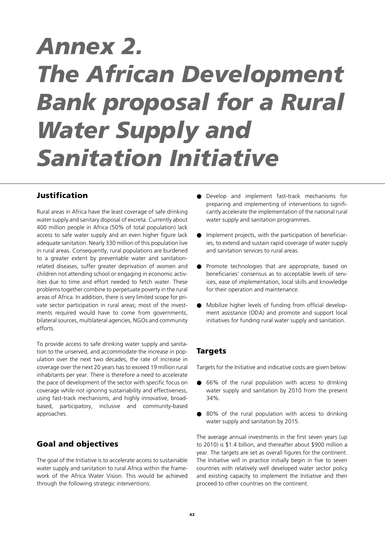# *Annex 2. The African Development Bank proposal for a Rural Water Supply and Sanitation Initiative*

#### **Justification**

Rural areas in Africa have the least coverage of safe drinking water supply and sanitary disposal of excreta. Currently about 400 million people in Africa (50% of total population) lack access to safe water supply and an even higher figure lack adequate sanitation. Nearly 330 million of this population live in rural areas. Consequently, rural populations are burdened to a greater extent by preventable water and sanitationrelated diseases, suffer greater deprivation of women and children not attending school or engaging in economic activities due to time and effort needed to fetch water. These problems together combine to perpetuate poverty in the rural areas of Africa. In addition, there is very limited scope for private sector participation in rural areas; most of the investments required would have to come from governments, bilateral sources, multilateral agencies, NGOs and community efforts.

To provide access to safe drinking water supply and sanitation to the unserved, and accommodate the increase in population over the next two decades, the rate of increase in coverage over the next 20 years has to exceed 19 million rural inhabitants per year. There is therefore a need to accelerate the pace of development of the sector with specific focus on coverage while not ignoring sustainability and effectiveness, using fast-track mechanisms, and highly innovative, broadbased, participatory, inclusive and community-based approaches.

#### **Goal and objectives**

The goal of the Initiative is to accelerate access to sustainable water supply and sanitation to rural Africa within the framework of the Africa Water Vision. This would be achieved through the following strategic interventions:

- Develop and implement fast-track mechanisms for preparing and implementing of interventions to significantly accelerate the implementation of the national rural water supply and sanitation programmes.
- Implement projects, with the participation of beneficiaries, to extend and sustain rapid coverage of water supply and sanitation services to rural areas.
- Promote technologies that are appropriate, based on beneficiaries' consensus as to acceptable levels of services, ease of implementation, local skills and knowledge for their operation and maintenance.
- Mobilize higher levels of funding from official development assistance (ODA) and promote and support local initiatives for funding rural water supply and sanitation.

#### **Targets**

Targets for the Initiative and indicative costs are given below:

- 66% of the rural population with access to drinking water supply and sanitation by 2010 from the present 34%.
- 80% of the rural population with access to drinking water supply and sanitation by 2015.

The average annual investments in the first seven years (up to 2010) is \$1.4 billion, and thereafter about \$900 million a year. The targets are set as overall figures for the continent. The Initiative will in practice initially begin in five to seven countries with relatively well developed water sector policy and existing capacity to implement the Initiative and then proceed to other countries on the continent.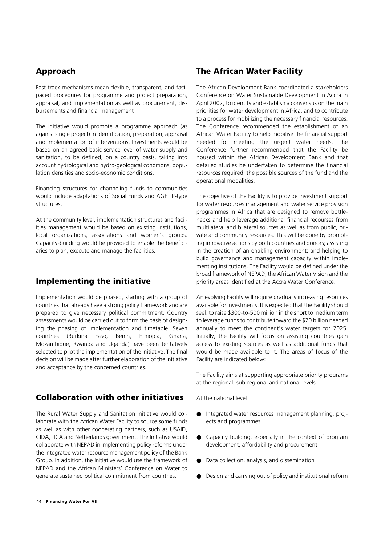#### **Approach**

Fast-track mechanisms mean flexible, transparent, and fastpaced procedures for programme and project preparation, appraisal, and implementation as well as procurement, disbursements and financial management

The Initiative would promote a programme approach (as against single project) in identification, preparation, appraisal and implementation of interventions. Investments would be based on an agreed basic service level of water supply and sanitation, to be defined, on a country basis, taking into account hydrological and hydro-geological conditions, population densities and socio-economic conditions.

Financing structures for channeling funds to communities would include adaptations of Social Funds and AGETIP-type structures.

At the community level, implementation structures and facilities management would be based on existing institutions, local organizations, associations and women's groups. Capacity-building would be provided to enable the beneficiaries to plan, execute and manage the facilities.

#### **Implementing the initiative**

Implementation would be phased, starting with a group of countries that already have a strong policy framework and are prepared to give necessary political commitment. Country assessments would be carried out to form the basis of designing the phasing of implementation and timetable. Seven countries (Burkina Faso, Benin, Ethiopia, Ghana, Mozambique, Rwanda and Uganda) have been tentatively selected to pilot the implementation of the Initiative. The final decision will be made after further elaboration of the Initiative and acceptance by the concerned countries.

#### **Collaboration with other initiatives**

The Rural Water Supply and Sanitation Initiative would collaborate with the African Water Facility to source some funds as well as with other cooperating partners, such as USAID, CIDA, JICA and Netherlands government. The Initiative would collaborate with NEPAD in implementing policy reforms under the integrated water resource management policy of the Bank Group. In addition, the Initiative would use the framework of NEPAD and the African Ministers' Conference on Water to generate sustained political commitment from countries.

#### **The African Water Facility**

The African Development Bank coordinated a stakeholders Conference on Water Sustainable Development in Accra in April 2002, to identify and establish a consensus on the main priorities for water development in Africa, and to contribute to a process for mobilizing the necessary financial resources. The Conference recommended the establishment of an African Water Facility to help mobilise the financial support needed for meeting the urgent water needs. The Conference further recommended that the Facility be housed within the African Development Bank and that detailed studies be undertaken to determine the financial resources required, the possible sources of the fund and the operational modalities.

The objective of the Facility is to provide investment support for water resources management and water service provision programmes in Africa that are designed to remove bottlenecks and help leverage additional financial recourses from multilateral and bilateral sources as well as from public, private and community resources. This will be done by promoting innovative actions by both countries and donors; assisting in the creation of an enabling environment; and helping to build governance and management capacity within implementing institutions. The Facility would be defined under the broad framework of NEPAD, the African Water Vision and the priority areas identified at the Accra Water Conference.

An evolving Facility will require gradually increasing resources available for investments. It is expected that the Facility should seek to raise \$300-to-500 million in the short to medium term to leverage funds to contribute toward the \$20 billion needed annually to meet the continent's water targets for 2025. Initially, the Facility will focus on assisting countries gain access to existing sources as well as additional funds that would be made available to it. The areas of focus of the Facility are indicated below:

The Facility aims at supporting appropriate priority programs at the regional, sub-regional and national levels.

At the national level

- Integrated water resources management planning, projects and programmes
- Capacity building, especially in the context of program development, affordability and procurement
- Data collection, analysis, and dissemination
- Design and carrying out of policy and institutional reform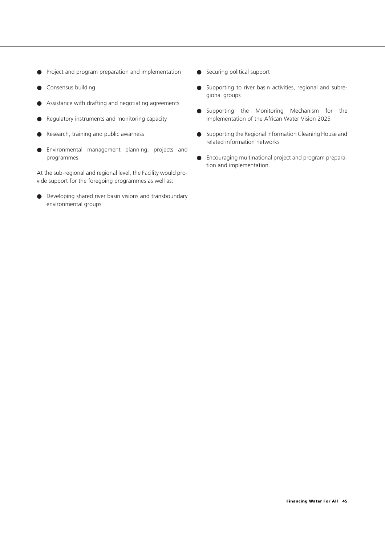- Project and program preparation and implementation
- Consensus building
- Assistance with drafting and negotiating agreements
- Regulatory instruments and monitoring capacity
- Research, training and public awarness
- Environmental management planning, projects and programmes.

At the sub-regional and regional level, the Facility would provide support for the foregoing programmes as well as:

● Developing shared river basin visions and transboundary environmental groups

- Securing political support
- Supporting to river basin activities, regional and subregional groups
- Supporting the Monitoring Mechanism for the Implementation of the African Water Vision 2025
- Supporting the Regional Information Cleaning House and related information networks
- Encouraging multinational project and program preparation and implementation.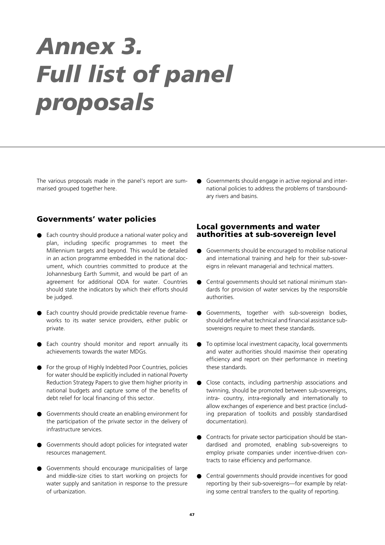# *Annex 3. Full list of panel proposals*

The various proposals made in the panel's report are summarised grouped together here.

#### **Governments' water policies**

- Each country should produce a national water policy and plan, including specific programmes to meet the Millennium targets and beyond. This would be detailed in an action programme embedded in the national document, which countries committed to produce at the Johannesburg Earth Summit, and would be part of an agreement for additional ODA for water. Countries should state the indicators by which their efforts should be judged.
- Each country should provide predictable revenue frameworks to its water service providers, either public or private.
- Each country should monitor and report annually its achievements towards the water MDGs.
- For the group of Highly Indebted Poor Countries, policies for water should be explicitly included in national Poverty Reduction Strategy Papers to give them higher priority in national budgets and capture some of the benefits of debt relief for local financing of this sector.
- Governments should create an enabling environment for the participation of the private sector in the delivery of infrastructure services.
- Governments should adopt policies for integrated water resources management.
- Governments should encourage municipalities of large and middle-size cities to start working on projects for water supply and sanitation in response to the pressure of urbanization.

● Governments should engage in active regional and international policies to address the problems of transboundary rivers and basins.

#### **Local governments and water authorities at sub-sovereign level**

- Governments should be encouraged to mobilise national and international training and help for their sub-sovereigns in relevant managerial and technical matters.
- Central governments should set national minimum standards for provision of water services by the responsible authorities.
- Governments, together with sub-sovereign bodies, should define what technical and financial assistance subsovereigns require to meet these standards.
- To optimise local investment capacity, local governments and water authorities should maximise their operating efficiency and report on their performance in meeting these standards.
- Close contacts, including partnership associations and twinning, should be promoted between sub-sovereigns, intra- country, intra-regionally and internationally to allow exchanges of experience and best practice (including preparation of toolkits and possibly standardised documentation).
- Contracts for private sector participation should be standardised and promoted, enabling sub-sovereigns to employ private companies under incentive-driven contracts to raise efficiency and performance.
- Central governments should provide incentives for good reporting by their sub-sovereigns—for example by relating some central transfers to the quality of reporting.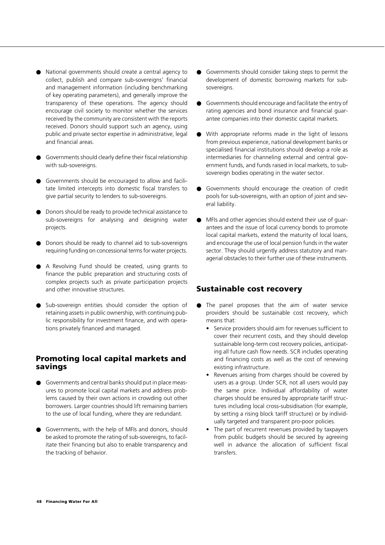- National governments should create a central agency to collect, publish and compare sub-sovereigns' financial and management information (including benchmarking of key operating parameters), and generally improve the transparency of these operations. The agency should encourage civil society to monitor whether the services received by the community are consistent with the reports received. Donors should support such an agency, using public and private sector expertise in administrative, legal and financial areas.
- Governments should clearly define their fiscal relationship with sub-sovereigns.
- Governments should be encouraged to allow and facilitate limited intercepts into domestic fiscal transfers to give partial security to lenders to sub-sovereigns.
- Donors should be ready to provide technical assistance to sub-sovereigns for analysing and designing water projects.
- Donors should be ready to channel aid to sub-sovereigns requiring funding on concessional terms for water projects.
- A Revolving Fund should be created, using grants to finance the public preparation and structuring costs of complex projects such as private participation projects and other innovative structures.
- Sub-sovereign entities should consider the option of retaining assets in public ownership, with continuing public responsibility for investment finance, and with operations privately financed and managed.

#### **Promoting local capital markets and savings**

- Governments and central banks should put in place measures to promote local capital markets and address problems caused by their own actions in crowding out other borrowers. Larger countries should lift remaining barriers to the use of local funding, where they are redundant.
- Governments, with the help of MFIs and donors, should be asked to promote the rating of sub-sovereigns, to facilitate their financing but also to enable transparency and the tracking of behavior.
- Governments should consider taking steps to permit the development of domestic borrowing markets for subsovereigns.
- Governments should encourage and facilitate the entry of rating agencies and bond insurance and financial guarantee companies into their domestic capital markets.
- With appropriate reforms made in the light of lessons from previous experience, national development banks or specialised financial institutions should develop a role as intermediaries for channeling external and central government funds, and funds raised in local markets, to subsovereign bodies operating in the water sector.
- Governments should encourage the creation of credit pools for sub-sovereigns, with an option of joint and several liability.
- MFIs and other agencies should extend their use of guarantees and the issue of local currency bonds to promote local capital markets, extend the maturity of local loans, and encourage the use of local pension funds in the water sector. They should urgently address statutory and managerial obstacles to their further use of these instruments.

#### **Sustainable cost recovery**

- The panel proposes that the aim of water service providers should be sustainable cost recovery, which means that:
	- Service providers should aim for revenues sufficient to cover their recurrent costs, and they should develop sustainable long-term cost recovery policies, anticipating all future cash flow needs. SCR includes operating and financing costs as well as the cost of renewing existing infrastructure.
	- Revenues arising from charges should be covered by users as a group. Under SCR, not all users would pay the same price. Individual affordability of water charges should be ensured by appropriate tariff structures including local cross-subsidisation (for example, by setting a rising block tariff structure) or by individually targeted and transparent pro-poor policies.
	- The part of recurrent revenues provided by taxpayers from public budgets should be secured by agreeing well in advance the allocation of sufficient fiscal transfers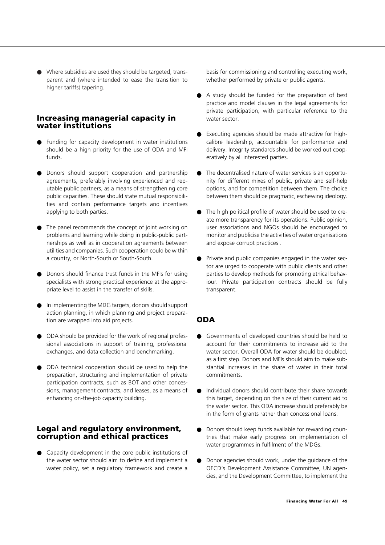● Where subsidies are used they should be targeted, transparent and (where intended to ease the transition to higher tariffs) tapering.

#### **Increasing managerial capacity in water institutions**

- Funding for capacity development in water institutions should be a high priority for the use of ODA and MFI funds.
- Donors should support cooperation and partnership agreements, preferably involving experienced and reputable public partners, as a means of strengthening core public capacities. These should state mutual responsibilities and contain performance targets and incentives applying to both parties.
- The panel recommends the concept of joint working on problems and learning while doing in public-public partnerships as well as in cooperation agreements between utilities and companies. Such cooperation could be within a country, or North-South or South-South.
- Donors should finance trust funds in the MFIs for using specialists with strong practical experience at the appropriate level to assist in the transfer of skills.
- In implementing the MDG targets, donors should support action planning, in which planning and project preparation are wrapped into aid projects.
- ODA should be provided for the work of regional professional associations in support of training, professional exchanges, and data collection and benchmarking.
- ODA technical cooperation should be used to help the preparation, structuring and implementation of private participation contracts, such as BOT and other concessions, management contracts, and leases, as a means of enhancing on-the-job capacity building.

#### **Legal and regulatory environment, corruption and ethical practices**

● Capacity development in the core public institutions of the water sector should aim to define and implement a water policy, set a regulatory framework and create a

basis for commissioning and controlling executing work, whether performed by private or public agents.

- A study should be funded for the preparation of best practice and model clauses in the legal agreements for private participation, with particular reference to the water sector.
- Executing agencies should be made attractive for highcalibre leadership, accountable for performance and delivery. Integrity standards should be worked out cooperatively by all interested parties.
- The decentralised nature of water services is an opportunity for different mixes of public, private and self-help options, and for competition between them. The choice between them should be pragmatic, eschewing ideology.
- The high political profile of water should be used to create more transparency for its operations. Public opinion, user associations and NGOs should be encouraged to monitor and publicise the activities of water organisations and expose corrupt practices .
- Private and public companies engaged in the water sector are urged to cooperate with public clients and other parties to develop methods for promoting ethical behaviour. Private participation contracts should be fully transparent.

#### **ODA**

- Governments of developed countries should be held to account for their commitments to increase aid to the water sector. Overall ODA for water should be doubled, as a first step. Donors and MFIs should aim to make substantial increases in the share of water in their total commitments.
- Individual donors should contribute their share towards this target, depending on the size of their current aid to the water sector. This ODA increase should preferably be in the form of grants rather than concessional loans.
- Donors should keep funds available for rewarding countries that make early progress on implementation of water programmes in fulfilment of the MDGs.
- Donor agencies should work, under the guidance of the OECD's Development Assistance Committee, UN agencies, and the Development Committee, to implement the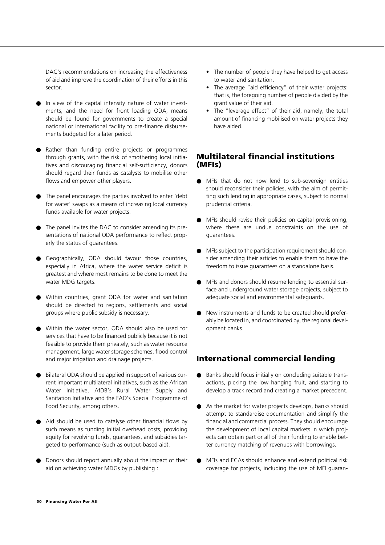DAC's recommendations on increasing the effectiveness of aid and improve the coordination of their efforts in this sector.

- In view of the capital intensity nature of water investments, and the need for front loading ODA, means should be found for governments to create a special national or international facility to pre-finance disbursements budgeted for a later period.
- Rather than funding entire projects or programmes through grants, with the risk of smothering local initiatives and discouraging financial self-sufficiency, donors should regard their funds as catalysts to mobilise other flows and empower other players.
- The panel encourages the parties involved to enter 'debt for water' swaps as a means of increasing local currency funds available for water projects.
- The panel invites the DAC to consider amending its presentations of national ODA performance to reflect properly the status of guarantees.
- Geographically, ODA should favour those countries, especially in Africa, where the water service deficit is greatest and where most remains to be done to meet the water MDG targets.
- Within countries, grant ODA for water and sanitation should be directed to regions, settlements and social groups where public subsidy is necessary.
- Within the water sector, ODA should also be used for services that have to be financed publicly because it is not feasible to provide them privately, such as water resource management, large water storage schemes, flood control and major irrigation and drainage projects.
- Bilateral ODA should be applied in support of various current important multilateral initiatives, such as the African Water Initiative, AfDB's Rural Water Supply and Sanitation Initiative and the FAO's Special Programme of Food Security, among others.
- Aid should be used to catalyse other financial flows by such means as funding initial overhead costs, providing equity for revolving funds, guarantees, and subsidies targeted to performance (such as output-based aid).
- Donors should report annually about the impact of their aid on achieving water MDGs by publishing :
- The number of people they have helped to get access to water and sanitation.
- The average "aid efficiency" of their water projects: that is, the foregoing number of people divided by the grant value of their aid.
- The "leverage effect" of their aid, namely, the total amount of financing mobilised on water projects they have aided.

#### **Multilateral financial institutions (MFIs)**

- MFIs that do not now lend to sub-sovereign entities should reconsider their policies, with the aim of permitting such lending in appropriate cases, subject to normal prudential criteria.
- MFIs should revise their policies on capital provisioning, where these are undue constraints on the use of guarantees.
- MFIs subject to the participation requirement should consider amending their articles to enable them to have the freedom to issue guarantees on a standalone basis.
- MFIs and donors should resume lending to essential surface and underground water storage projects, subject to adequate social and environmental safeguards.
- New instruments and funds to be created should preferably be located in, and coordinated by, the regional development banks.

#### **International commercial lending**

- Banks should focus initially on concluding suitable transactions, picking the low hanging fruit, and starting to develop a track record and creating a market precedent.
- As the market for water projects develops, banks should attempt to standardise documentation and simplify the financial and commercial process. They should encourage the development of local capital markets in which projects can obtain part or all of their funding to enable better currency matching of revenues with borrowings.
- MFIs and ECAs should enhance and extend political risk coverage for projects, including the use of MFI guaran-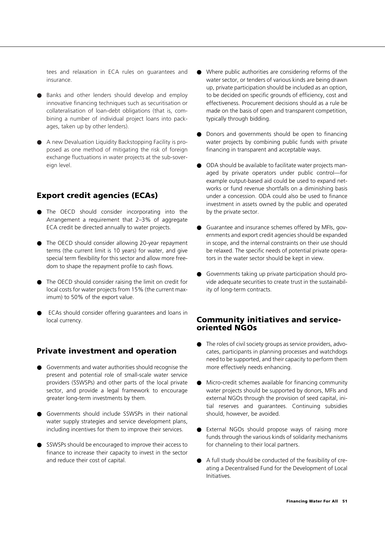tees and relaxation in ECA rules on guarantees and insurance.

- Banks and other lenders should develop and employ innovative financing techniques such as securitisation or collateralisation of loan-debt obligations (that is, combining a number of individual project loans into packages, taken up by other lenders).
- A new Devaluation Liquidity Backstopping Facility is proposed as one method of mitigating the risk of foreign exchange fluctuations in water projects at the sub-sovereign level.

#### **Export credit agencies (ECAs)**

- The OECD should consider incorporating into the Arrangement a requirement that 2–3% of aggregate ECA credit be directed annually to water projects.
- The OECD should consider allowing 20-year repayment terms (the current limit is 10 years) for water, and give special term flexibility for this sector and allow more freedom to shape the repayment profile to cash flows.
- The OECD should consider raising the limit on credit for local costs for water projects from 15% (the current maximum) to 50% of the export value.
- ECAs should consider offering guarantees and loans in local currency.

#### **Private investment and operation**

- Governments and water authorities should recognise the present and potential role of small-scale water service providers (SSWSPs) and other parts of the local private sector, and provide a legal framework to encourage greater long-term investments by them.
- Governments should include SSWSPs in their national water supply strategies and service development plans, including incentives for them to improve their services.
- SSWSPs should be encouraged to improve their access to finance to increase their capacity to invest in the sector and reduce their cost of capital.
- Where public authorities are considering reforms of the water sector, or tenders of various kinds are being drawn up, private participation should be included as an option, to be decided on specific grounds of efficiency, cost and effectiveness. Procurement decisions should as a rule be made on the basis of open and transparent competition, typically through bidding.
- Donors and governments should be open to financing water projects by combining public funds with private financing in transparent and acceptable ways.
- ODA should be available to facilitate water projects managed by private operators under public control—for example output-based aid could be used to expand networks or fund revenue shortfalls on a diminishing basis under a concession. ODA could also be used to finance investment in assets owned by the public and operated by the private sector.
- Guarantee and insurance schemes offered by MFIs, governments and export credit agencies should be expanded in scope, and the internal constraints on their use should be relaxed. The specific needs of potential private operators in the water sector should be kept in view.
- Governments taking up private participation should provide adequate securities to create trust in the sustainability of long-term contracts.

#### **Community initiatives and serviceoriented NGOs**

- The roles of civil society groups as service providers, advocates, participants in planning processes and watchdogs need to be supported, and their capacity to perform them more effectively needs enhancing.
- Micro-credit schemes available for financing community water projects should be supported by donors, MFIs and external NGOs through the provision of seed capital, initial reserves and guarantees. Continuing subsidies should, however, be avoided.
- External NGOs should propose ways of raising more funds through the various kinds of solidarity mechanisms for channeling to their local partners.
- A full study should be conducted of the feasibility of creating a Decentralised Fund for the Development of Local Initiatives.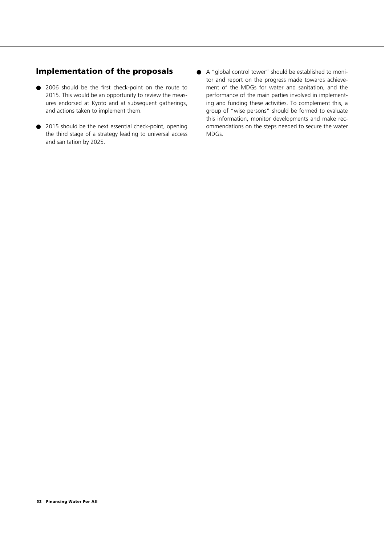#### **Implementation of the proposals**

- 2006 should be the first check-point on the route to 2015. This would be an opportunity to review the measures endorsed at Kyoto and at subsequent gatherings, and actions taken to implement them.
- 2015 should be the next essential check-point, opening the third stage of a strategy leading to universal access and sanitation by 2025.
- A "global control tower" should be established to monitor and report on the progress made towards achievement of the MDGs for water and sanitation, and the performance of the main parties involved in implementing and funding these activities. To complement this, a group of "wise persons" should be formed to evaluate this information, monitor developments and make recommendations on the steps needed to secure the water MDGs.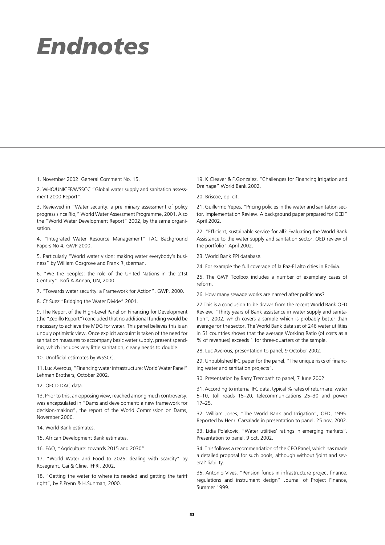## *Endnotes*

1. November 2002. General Comment No. 15.

2. WHO/UNICEF/WSSCC "Global water supply and sanitation assessment 2000 Report".

3. Reviewed in "Water security: a preliminary assessment of policy progress since Rio," World Water Assessment Programme, 2001. Also the "World Water Development Report" 2002, by the same organisation.

4. "Integrated Water Resource Management" TAC Background Papers No. 4, GWP 2000.

5. Particularly "World water vision: making water everybody's business" by William Cosgrove and Frank Rijsberman.

6. "We the peoples: the role of the United Nations in the 21st Century". Kofi A.Annan, UN, 2000.

7. "Towards water security: a Framework for Action". GWP, 2000.

8. Cf Suez "Bridging the Water Divide" 2001.

9. The Report of the High-Level Panel on Financing for Development (the "Zedillo Report") concluded that no additional funding would be necessary to achieve the MDG for water. This panel believes this is an unduly optimistic view. Once explicit accouint is taken of the need for sanitation measures to accompany basic water supply, present spending, which includes very little sanitation, clearly needs to double.

10. Unofficial estimates by WSSCC.

11. Luc Averous, "Financing water infrastructure: World Water Panel" Lehman Brothers, October 2002.

12. OECD DAC data.

13. Prior to this, an opposing view, reached among much controversy, was encapsulated in "Dams and development: a new framework for decision-making", the report of the World Commission on Dams, November 2000.

14. World Bank estimates.

15. African Development Bank estimates.

16. FAO, "Agriculture: towards 2015 and 2030".

17. "World Water and Food to 2025: dealing with scarcity" by Rosegrant, Cai & Cline. IFPRI, 2002.

18. "Getting the water to where its needed and getting the tariff right", by P.Prynn & H.Sunman, 2000.

19. K.Cleaver & F.Gonzalez, "Challenges for Financing Irrigation and Drainage" World Bank 2002.

20. Briscoe, op. cit.

21. Guillermo Yepes, "Pricing policies in the water and sanitation sector. Implementation Review. A background paper prepared for OED" April 2002.

22. "Efficient, sustainable service for all? Evaluating the World Bank Assistance to the water supply and sanitation sector. OED review of the portfolio" April 2002.

23. World Bank PPI database.

24. For example the full coverage of la Paz-El alto cities in Bolivia.

25. The GWP Toolbox includes a number of exemplary cases of reform.

26. How many sewage works are named after politicians?

27 This is a conclusion to be drawn from the recent World Bank OED Review, "Thirty years of Bank assistance in water supply and sanitation", 2002, which covers a sample which is probably better than average for the sector. The World Bank data set of 246 water utilities in 51 countries shows that the average Working Ratio (of costs as a % of revenues) exceeds 1 for three-quarters of the sample.

28. Luc Averous, presentation to panel, 9 October 2002.

29. Unpublished IFC paper for the panel, "The unique risks of financing water and sanitation projects".

30. Presentation by Barry Trembath to panel, 7 June 2002

31. According to internal IFC data, typical % rates of return are: water 5–10, toll roads 15–20, telecommunications 25–30 and power 17–25.

32. William Jones, "The World Bank and Irrigation", OED, 1995. Reported by Henri Carsalade in presentation to panel, 25 nov, 2002.

33. Lidia Polakovic, "Water utilities' ratings in emerging markets". Presentation to panel, 9 oct, 2002.

34. This follows a recommendation of the CEO Panel, which has made a detailed proposal for such pools, although without 'joint and several' liability.

35. Antonio Vives, "Pension funds in infrastructure project finance: regulations and instrument design" Journal of Project Finance, Summer 1999.